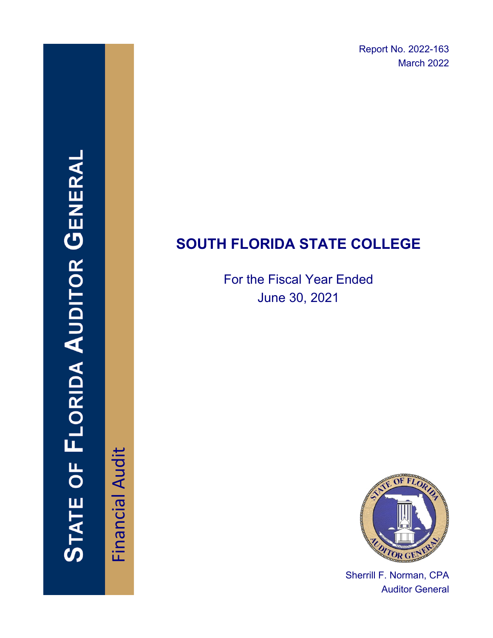Report No. 2022-163 March 2022

# STATE OF FLORIDA AUDITOR GENERA

Financial Audit Financial Audit

# **SOUTH FLORIDA STATE COLLEGE**

For the Fiscal Year Ended June 30, 2021



Sherrill F. Norman, CPA Auditor General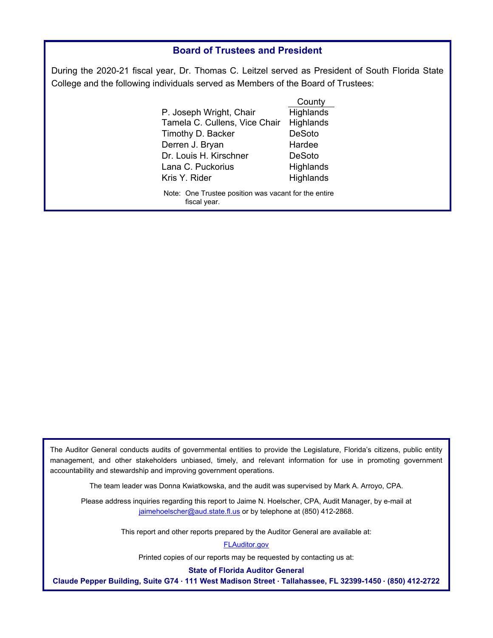#### **Board of Trustees and President**

During the 2020-21 fiscal year, Dr. Thomas C. Leitzel served as President of South Florida State College and the following individuals served as Members of the Board of Trustees:

|                               | County        |
|-------------------------------|---------------|
| P. Joseph Wright, Chair       | Highlands     |
| Tamela C. Cullens, Vice Chair | Highlands     |
| Timothy D. Backer             | <b>DeSoto</b> |
| Derren J. Bryan               | Hardee        |
| Dr. Louis H. Kirschner        | DeSoto        |
| Lana C. Puckorius             | Highlands     |
| Kris Y. Rider                 | Highlands     |
|                               |               |

Note: One Trustee position was vacant for the entire fiscal year.

The Auditor General conducts audits of governmental entities to provide the Legislature, Florida's citizens, public entity management, and other stakeholders unbiased, timely, and relevant information for use in promoting government accountability and stewardship and improving government operations.

The team leader was Donna Kwiatkowska, and the audit was supervised by Mark A. Arroyo, CPA.

Please address inquiries regarding this report to Jaime N. Hoelscher, CPA, Audit Manager, by e-mail at jaimehoelscher@aud.state.fl.us or by telephone at (850) 412-2868.

This report and other reports prepared by the Auditor General are available at:

[FLAuditor.gov](http://flauditor.gov/) 

Printed copies of our reports may be requested by contacting us at:

**State of Florida Auditor General** 

**Claude Pepper Building, Suite G74 · 111 West Madison Street · Tallahassee, FL 32399-1450 · (850) 412-2722**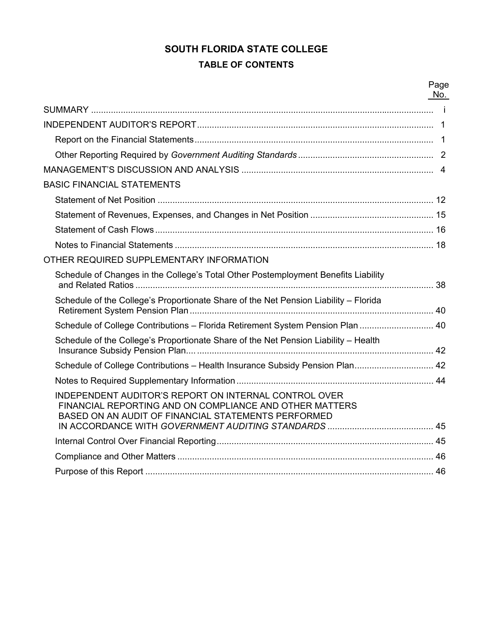# **SOUTH FLORIDA STATE COLLEGE TABLE OF CONTENTS**

Page

|                                                                                                                                                                         | No. |
|-------------------------------------------------------------------------------------------------------------------------------------------------------------------------|-----|
|                                                                                                                                                                         |     |
|                                                                                                                                                                         |     |
|                                                                                                                                                                         |     |
|                                                                                                                                                                         |     |
|                                                                                                                                                                         |     |
| <b>BASIC FINANCIAL STATEMENTS</b>                                                                                                                                       |     |
|                                                                                                                                                                         |     |
|                                                                                                                                                                         |     |
|                                                                                                                                                                         |     |
|                                                                                                                                                                         |     |
| OTHER REQUIRED SUPPLEMENTARY INFORMATION                                                                                                                                |     |
| Schedule of Changes in the College's Total Other Postemployment Benefits Liability                                                                                      |     |
| Schedule of the College's Proportionate Share of the Net Pension Liability - Florida                                                                                    |     |
| Schedule of College Contributions - Florida Retirement System Pension Plan  40                                                                                          |     |
| Schedule of the College's Proportionate Share of the Net Pension Liability - Health                                                                                     |     |
| Schedule of College Contributions – Health Insurance Subsidy Pension Plan 42                                                                                            |     |
|                                                                                                                                                                         |     |
| INDEPENDENT AUDITOR'S REPORT ON INTERNAL CONTROL OVER<br>FINANCIAL REPORTING AND ON COMPLIANCE AND OTHER MATTERS<br>BASED ON AN AUDIT OF FINANCIAL STATEMENTS PERFORMED |     |
|                                                                                                                                                                         |     |
|                                                                                                                                                                         |     |
|                                                                                                                                                                         |     |
|                                                                                                                                                                         |     |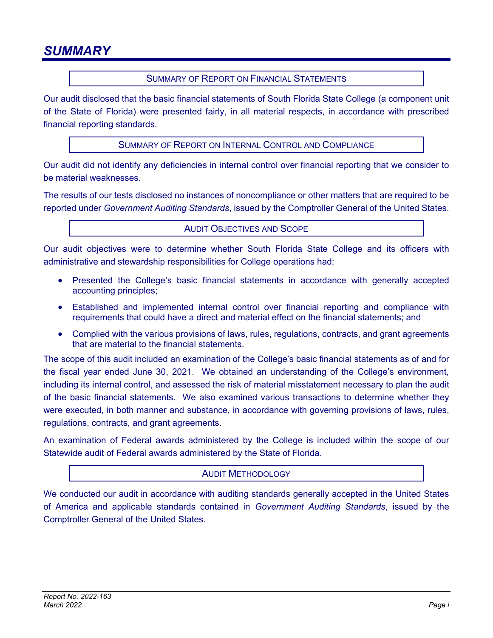#### SUMMARY OF REPORT ON FINANCIAL STATEMENTS

<span id="page-3-0"></span>Our audit disclosed that the basic financial statements of South Florida State College (a component unit of the State of Florida) were presented fairly, in all material respects, in accordance with prescribed financial reporting standards.

SUMMARY OF REPORT ON INTERNAL CONTROL AND COMPLIANCE

Our audit did not identify any deficiencies in internal control over financial reporting that we consider to be material weaknesses.

The results of our tests disclosed no instances of noncompliance or other matters that are required to be reported under *Government Auditing Standards*, issued by the Comptroller General of the United States.

#### AUDIT OBJECTIVES AND SCOPE

Our audit objectives were to determine whether South Florida State College and its officers with administrative and stewardship responsibilities for College operations had:

- Presented the College's basic financial statements in accordance with generally accepted accounting principles;
- Established and implemented internal control over financial reporting and compliance with requirements that could have a direct and material effect on the financial statements; and
- Complied with the various provisions of laws, rules, regulations, contracts, and grant agreements that are material to the financial statements.

The scope of this audit included an examination of the College's basic financial statements as of and for the fiscal year ended June 30, 2021. We obtained an understanding of the College's environment, including its internal control, and assessed the risk of material misstatement necessary to plan the audit of the basic financial statements. We also examined various transactions to determine whether they were executed, in both manner and substance, in accordance with governing provisions of laws, rules, regulations, contracts, and grant agreements.

An examination of Federal awards administered by the College is included within the scope of our Statewide audit of Federal awards administered by the State of Florida.

# AUDIT METHODOLOGY

We conducted our audit in accordance with auditing standards generally accepted in the United States of America and applicable standards contained in *Government Auditing Standards*, issued by the Comptroller General of the United States.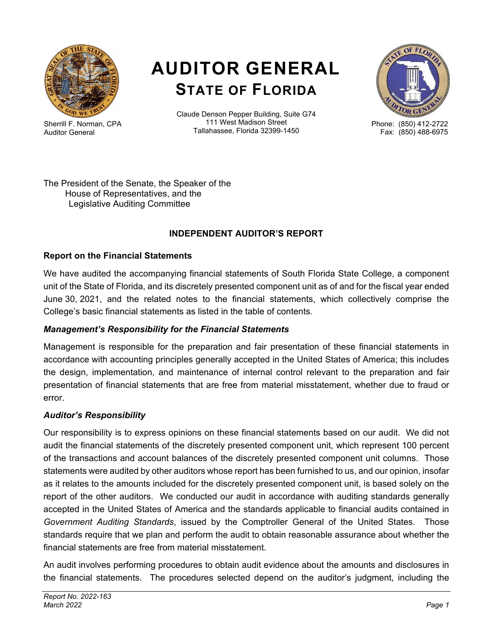<span id="page-4-0"></span>

Sherrill F. Norman, CPA Auditor General

# **AUDITOR GENERAL STATE OF FLORIDA**

Claude Denson Pepper Building, Suite G74 111 West Madison Street Tallahassee, Florida 32399-1450



Phone: (850) 412-2722 Fax: (850) 488-6975

The President of the Senate, the Speaker of the House of Representatives, and the Legislative Auditing Committee

# **INDEPENDENT AUDITOR'S REPORT**

# **Report on the Financial Statements**

We have audited the accompanying financial statements of South Florida State College, a component unit of the State of Florida, and its discretely presented component unit as of and for the fiscal year ended June 30, 2021, and the related notes to the financial statements, which collectively comprise the College's basic financial statements as listed in the table of contents.

# *Management's Responsibility for the Financial Statements*

Management is responsible for the preparation and fair presentation of these financial statements in accordance with accounting principles generally accepted in the United States of America; this includes the design, implementation, and maintenance of internal control relevant to the preparation and fair presentation of financial statements that are free from material misstatement, whether due to fraud or error.

# *Auditor's Responsibility*

Our responsibility is to express opinions on these financial statements based on our audit. We did not audit the financial statements of the discretely presented component unit, which represent 100 percent of the transactions and account balances of the discretely presented component unit columns. Those statements were audited by other auditors whose report has been furnished to us, and our opinion, insofar as it relates to the amounts included for the discretely presented component unit, is based solely on the report of the other auditors. We conducted our audit in accordance with auditing standards generally accepted in the United States of America and the standards applicable to financial audits contained in *Government Auditing Standards*, issued by the Comptroller General of the United States. Those standards require that we plan and perform the audit to obtain reasonable assurance about whether the financial statements are free from material misstatement.

An audit involves performing procedures to obtain audit evidence about the amounts and disclosures in the financial statements. The procedures selected depend on the auditor's judgment, including the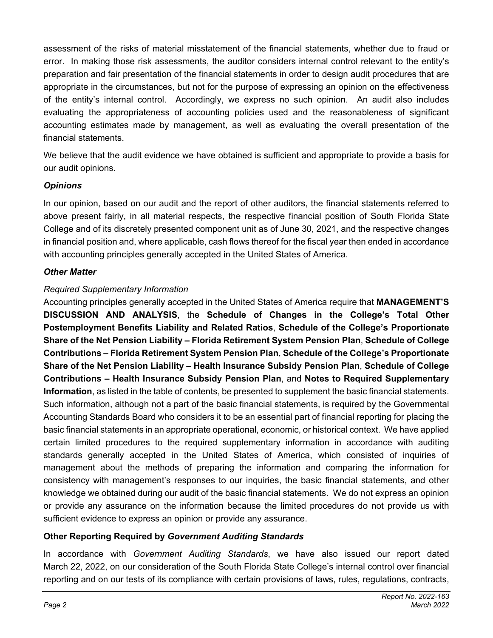<span id="page-5-0"></span>assessment of the risks of material misstatement of the financial statements, whether due to fraud or error. In making those risk assessments, the auditor considers internal control relevant to the entity's preparation and fair presentation of the financial statements in order to design audit procedures that are appropriate in the circumstances, but not for the purpose of expressing an opinion on the effectiveness of the entity's internal control. Accordingly, we express no such opinion. An audit also includes evaluating the appropriateness of accounting policies used and the reasonableness of significant accounting estimates made by management, as well as evaluating the overall presentation of the financial statements.

We believe that the audit evidence we have obtained is sufficient and appropriate to provide a basis for our audit opinions.

# *Opinions*

In our opinion, based on our audit and the report of other auditors, the financial statements referred to above present fairly, in all material respects, the respective financial position of South Florida State College and of its discretely presented component unit as of June 30, 2021, and the respective changes in financial position and, where applicable, cash flows thereof for the fiscal year then ended in accordance with accounting principles generally accepted in the United States of America.

# *Other Matter*

# *Required Supplementary Information*

Accounting principles generally accepted in the United States of America require that **MANAGEMENT'S DISCUSSION AND ANALYSIS**, the **Schedule of Changes in the College's Total Other Postemployment Benefits Liability and Related Ratios**, **Schedule of the College's Proportionate Share of the Net Pension Liability – Florida Retirement System Pension Plan**, **Schedule of College Contributions – Florida Retirement System Pension Plan**, **Schedule of the College's Proportionate Share of the Net Pension Liability – Health Insurance Subsidy Pension Plan**, **Schedule of College Contributions – Health Insurance Subsidy Pension Plan**, and **Notes to Required Supplementary Information**, as listed in the table of contents, be presented to supplement the basic financial statements. Such information, although not a part of the basic financial statements, is required by the Governmental Accounting Standards Board who considers it to be an essential part of financial reporting for placing the basic financial statements in an appropriate operational, economic, or historical context. We have applied certain limited procedures to the required supplementary information in accordance with auditing standards generally accepted in the United States of America, which consisted of inquiries of management about the methods of preparing the information and comparing the information for consistency with management's responses to our inquiries, the basic financial statements, and other knowledge we obtained during our audit of the basic financial statements. We do not express an opinion or provide any assurance on the information because the limited procedures do not provide us with sufficient evidence to express an opinion or provide any assurance.

# **Other Reporting Required by** *Government Auditing Standards*

In accordance with *Government Auditing Standards*, we have also issued our report dated March 22, 2022, on our consideration of the South Florida State College's internal control over financial reporting and on our tests of its compliance with certain provisions of laws, rules, regulations, contracts,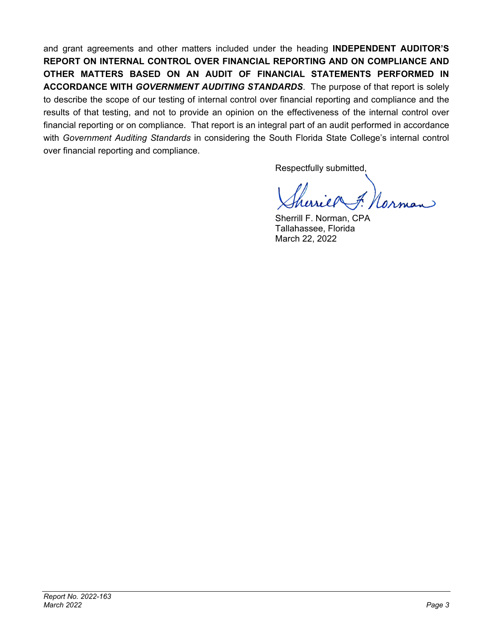and grant agreements and other matters included under the heading **INDEPENDENT AUDITOR'S REPORT ON INTERNAL CONTROL OVER FINANCIAL REPORTING AND ON COMPLIANCE AND OTHER MATTERS BASED ON AN AUDIT OF FINANCIAL STATEMENTS PERFORMED IN ACCORDANCE WITH** *GOVERNMENT AUDITING STANDARDS*. The purpose of that report is solely to describe the scope of our testing of internal control over financial reporting and compliance and the results of that testing, and not to provide an opinion on the effectiveness of the internal control over financial reporting or on compliance. That report is an integral part of an audit performed in accordance with *Government Auditing Standards* in considering the South Florida State College's internal control over financial reporting and compliance.

Respectfully submitted,

Sherrill F. Norman, CPA Tallahassee, Florida March 22, 2022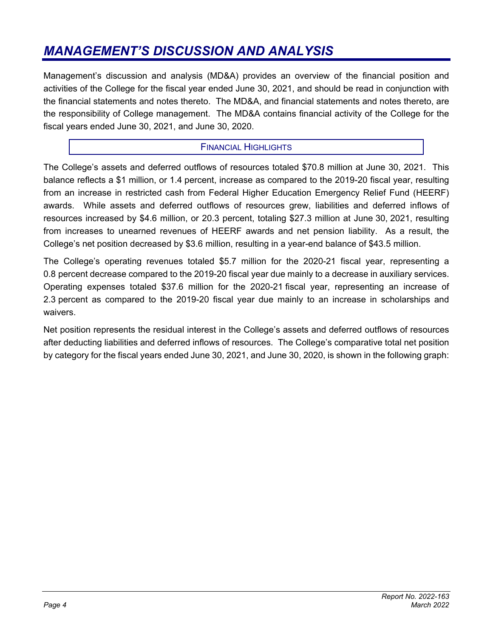# <span id="page-7-0"></span>*MANAGEMENT'S DISCUSSION AND ANALYSIS*

Management's discussion and analysis (MD&A) provides an overview of the financial position and activities of the College for the fiscal year ended June 30, 2021, and should be read in conjunction with the financial statements and notes thereto. The MD&A, and financial statements and notes thereto, are the responsibility of College management. The MD&A contains financial activity of the College for the fiscal years ended June 30, 2021, and June 30, 2020.

# FINANCIAL HIGHLIGHTS

The College's assets and deferred outflows of resources totaled \$70.8 million at June 30, 2021. This balance reflects a \$1 million, or 1.4 percent, increase as compared to the 2019-20 fiscal year, resulting from an increase in restricted cash from Federal Higher Education Emergency Relief Fund (HEERF) awards. While assets and deferred outflows of resources grew, liabilities and deferred inflows of resources increased by \$4.6 million, or 20.3 percent, totaling \$27.3 million at June 30, 2021, resulting from increases to unearned revenues of HEERF awards and net pension liability. As a result, the College's net position decreased by \$3.6 million, resulting in a year-end balance of \$43.5 million.

The College's operating revenues totaled \$5.7 million for the 2020-21 fiscal year, representing a 0.8 percent decrease compared to the 2019-20 fiscal year due mainly to a decrease in auxiliary services. Operating expenses totaled \$37.6 million for the 2020-21 fiscal year, representing an increase of 2.3 percent as compared to the 2019-20 fiscal year due mainly to an increase in scholarships and waivers.

Net position represents the residual interest in the College's assets and deferred outflows of resources after deducting liabilities and deferred inflows of resources. The College's comparative total net position by category for the fiscal years ended June 30, 2021, and June 30, 2020, is shown in the following graph: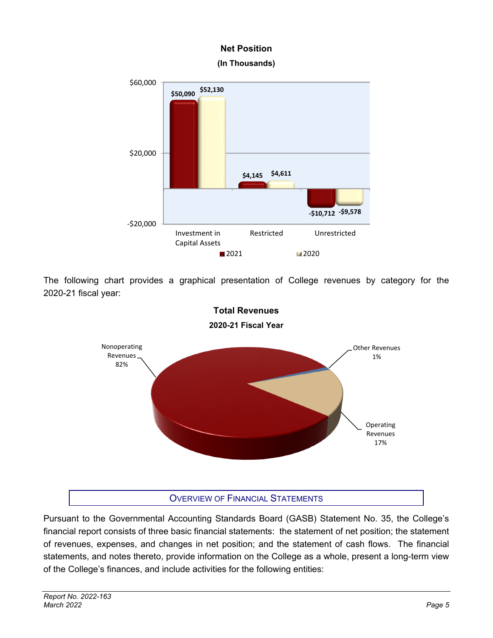**Net Position (In Thousands)** 



The following chart provides a graphical presentation of College revenues by category for the 2020-21 fiscal year:



# OVERVIEW OF FINANCIAL STATEMENTS

Pursuant to the Governmental Accounting Standards Board (GASB) Statement No. 35, the College's financial report consists of three basic financial statements: the statement of net position; the statement of revenues, expenses, and changes in net position; and the statement of cash flows. The financial statements, and notes thereto, provide information on the College as a whole, present a long-term view of the College's finances, and include activities for the following entities: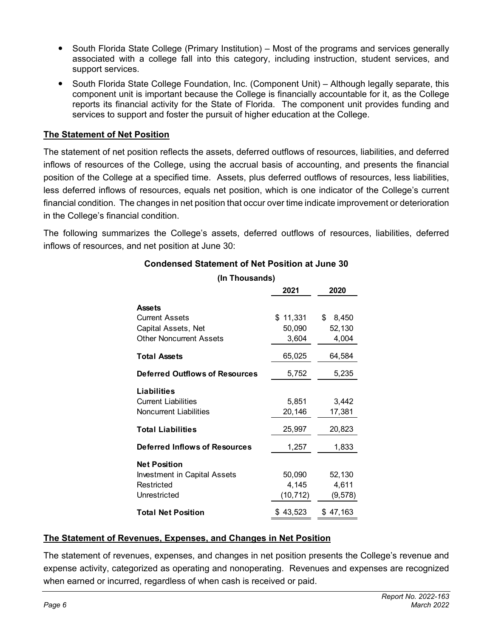- South Florida State College (Primary Institution) Most of the programs and services generally associated with a college fall into this category, including instruction, student services, and support services.
- South Florida State College Foundation, Inc. (Component Unit) Although legally separate, this component unit is important because the College is financially accountable for it, as the College reports its financial activity for the State of Florida. The component unit provides funding and services to support and foster the pursuit of higher education at the College.

#### **The Statement of Net Position**

The statement of net position reflects the assets, deferred outflows of resources, liabilities, and deferred inflows of resources of the College, using the accrual basis of accounting, and presents the financial position of the College at a specified time. Assets, plus deferred outflows of resources, less liabilities, less deferred inflows of resources, equals net position, which is one indicator of the College's current financial condition. The changes in net position that occur over time indicate improvement or deterioration in the College's financial condition.

The following summarizes the College's assets, deferred outflows of resources, liabilities, deferred inflows of resources, and net position at June 30:

|                                       | 2021      | 2020        |
|---------------------------------------|-----------|-------------|
| <b>Assets</b>                         |           |             |
| <b>Current Assets</b>                 | \$11,331  | \$<br>8,450 |
| Capital Assets, Net                   | 50,090    | 52,130      |
| <b>Other Noncurrent Assets</b>        | 3,604     | 4,004       |
| <b>Total Assets</b>                   | 65,025    | 64,584      |
| <b>Deferred Outflows of Resources</b> | 5,752     | 5,235       |
| Liabilities                           |           |             |
| <b>Current Liabilities</b>            | 5,851     | 3,442       |
| <b>Noncurrent Liabilities</b>         | 20,146    | 17,381      |
| <b>Total Liabilities</b>              | 25,997    | 20,823      |
| <b>Deferred Inflows of Resources</b>  | 1,257     | 1,833       |
| <b>Net Position</b>                   |           |             |
| <b>Investment in Capital Assets</b>   | 50,090    | 52,130      |
| Restricted                            | 4,145     | 4,611       |
| Unrestricted                          | (10, 712) | (9, 578)    |
| <b>Total Net Position</b>             | \$43,523  | \$47,163    |

#### **Condensed Statement of Net Position at June 30**

**(In Thousands)** 

#### **The Statement of Revenues, Expenses, and Changes in Net Position**

The statement of revenues, expenses, and changes in net position presents the College's revenue and expense activity, categorized as operating and nonoperating. Revenues and expenses are recognized when earned or incurred, regardless of when cash is received or paid.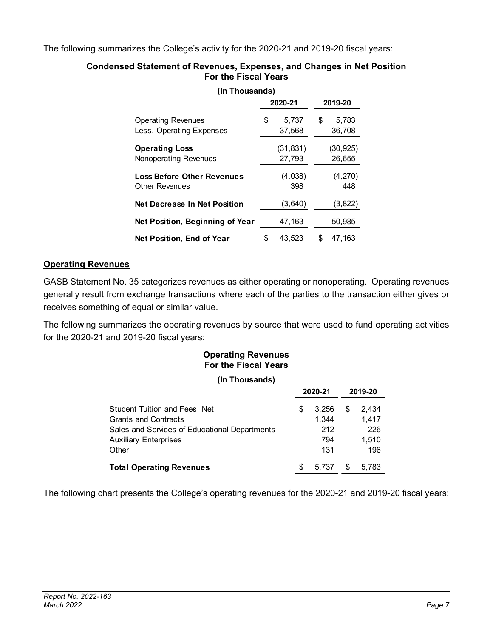The following summarizes the College's activity for the 2020-21 and 2019-20 fiscal years:

#### **Condensed Statement of Revenues, Expenses, and Changes in Net Position For the Fiscal Years**

| (In Thousands)                                             |         |                     |    |                     |
|------------------------------------------------------------|---------|---------------------|----|---------------------|
|                                                            | 2020-21 |                     |    | 2019-20             |
| <b>Operating Revenues</b><br>Less, Operating Expenses      | \$      | 5,737<br>37,568     | \$ | 5,783<br>36,708     |
| <b>Operating Loss</b><br>Nonoperating Revenues             |         | (31, 831)<br>27,793 |    | (30, 925)<br>26,655 |
| <b>Loss Before Other Revenues</b><br><b>Other Revenues</b> |         | (4,038)<br>398      |    | (4,270)<br>448      |
| <b>Net Decrease In Net Position</b>                        |         | (3,640)             |    | (3,822)             |
| Net Position, Beginning of Year                            |         | 47,163              |    | 50,985              |
| <b>Net Position, End of Year</b>                           | \$      | 43,523              | S  | 47,163              |

# **Operating Revenues**

GASB Statement No. 35 categorizes revenues as either operating or nonoperating. Operating revenues generally result from exchange transactions where each of the parties to the transaction either gives or receives something of equal or similar value.

The following summarizes the operating revenues by source that were used to fund operating activities for the 2020-21 and 2019-20 fiscal years:

# **Operating Revenues For the Fiscal Years**

#### **(In Thousands)**

|                                               |   | 2020-21 |   | 2019-20 |
|-----------------------------------------------|---|---------|---|---------|
| <b>Student Tuition and Fees, Net</b>          | S | 3.256   | S | 2.434   |
| <b>Grants and Contracts</b>                   |   | 1.344   |   | 1,417   |
| Sales and Services of Educational Departments |   | 212     |   | 226     |
| <b>Auxiliary Enterprises</b>                  |   | 794     |   | 1,510   |
| Other                                         |   | 131     |   | 196     |
| <b>Total Operating Revenues</b>               | S | 5.737   | S | 5.783   |

The following chart presents the College's operating revenues for the 2020-21 and 2019-20 fiscal years: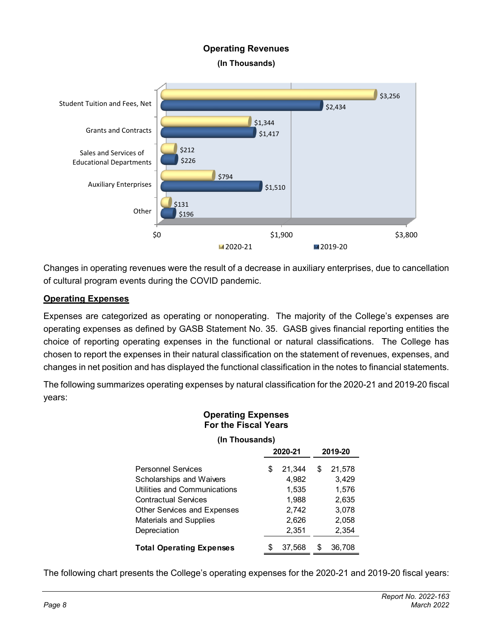

Changes in operating revenues were the result of a decrease in auxiliary enterprises, due to cancellation of cultural program events during the COVID pandemic.

# **Operating Expenses**

Expenses are categorized as operating or nonoperating. The majority of the College's expenses are operating expenses as defined by GASB Statement No. 35. GASB gives financial reporting entities the choice of reporting operating expenses in the functional or natural classifications. The College has chosen to report the expenses in their natural classification on the statement of revenues, expenses, and changes in net position and has displayed the functional classification in the notes to financial statements.

The following summarizes operating expenses by natural classification for the 2020-21 and 2019-20 fiscal years:

# **Operating Expenses For the Fiscal Years**

# **(In Thousands) 2020-21 2019-20** Personnel Services  $$21,344 $21,578$ Scholarships and Waivers 4,982 3,429 Utilities and Communications 1,535 1,576 Contractual Services 1,988 2,635 Other Services and Expenses 2,742 3,078 Materials and Supplies 2,626 2,058 Depreciation 2,351 2,354 **Total Operating Expenses**  $$ 37,568 $ 36,708$

The following chart presents the College's operating expenses for the 2020-21 and 2019-20 fiscal years: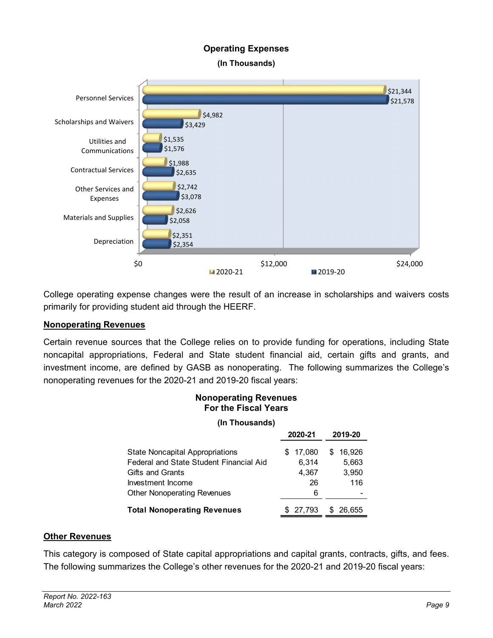# **Operating Expenses**

**(In Thousands)**



College operating expense changes were the result of an increase in scholarships and waivers costs primarily for providing student aid through the HEERF.

# **Nonoperating Revenues**

Certain revenue sources that the College relies on to provide funding for operations, including State noncapital appropriations, Federal and State student financial aid, certain gifts and grants, and investment income, are defined by GASB as nonoperating. The following summarizes the College's nonoperating revenues for the 2020-21 and 2019-20 fiscal years:

#### **Nonoperating Revenues For the Fiscal Years**

**(In Thousands)** 

|                                                                                                       | 2020-21                         | 2019-20                       |
|-------------------------------------------------------------------------------------------------------|---------------------------------|-------------------------------|
| <b>State Noncapital Appropriations</b><br>Federal and State Student Financial Aid<br>Gifts and Grants | 17,080<br>SS.<br>6,314<br>4,367 | 16.926<br>S<br>5,663<br>3,950 |
| Investment Income<br><b>Other Nonoperating Revenues</b>                                               | 26<br>6                         | 116                           |
| <b>Total Nonoperating Revenues</b>                                                                    | \$ 27,793                       | \$26,655                      |

# **Other Revenues**

This category is composed of State capital appropriations and capital grants, contracts, gifts, and fees. The following summarizes the College's other revenues for the 2020-21 and 2019-20 fiscal years: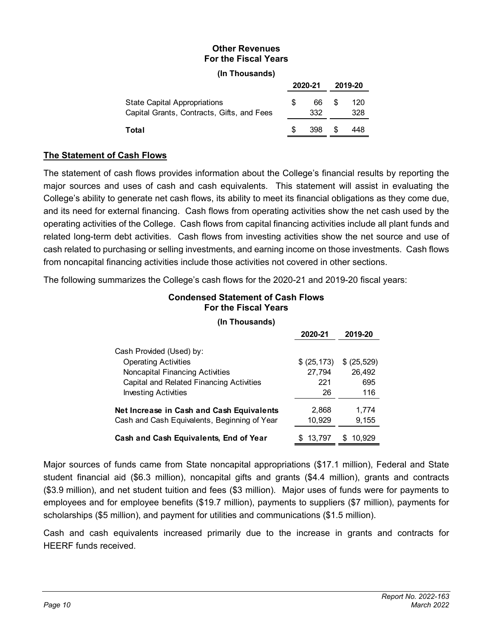#### **Other Revenues For the Fiscal Years**

#### **(In Thousands)**

|           |         | 2019-20    |
|-----------|---------|------------|
| 66<br>332 |         | 120<br>328 |
| 398       |         | 448        |
|           | 2020-21 |            |

#### **The Statement of Cash Flows**

The statement of cash flows provides information about the College's financial results by reporting the major sources and uses of cash and cash equivalents. This statement will assist in evaluating the College's ability to generate net cash flows, its ability to meet its financial obligations as they come due, and its need for external financing. Cash flows from operating activities show the net cash used by the operating activities of the College. Cash flows from capital financing activities include all plant funds and related long-term debt activities. Cash flows from investing activities show the net source and use of cash related to purchasing or selling investments, and earning income on those investments. Cash flows from noncapital financing activities include those activities not covered in other sections.

The following summarizes the College's cash flows for the 2020-21 and 2019-20 fiscal years:

# **Condensed Statement of Cash Flows For the Fiscal Years**

# **(In Thousands) 2020-21 2019-20** Cash Provided (Used) by: Operating Activities (25,173) \$ (25,529) Noncapital Financing Activities 27,794 26,492 Capital and Related Financing Activities 221 695 Investing Activities **116** 116 **Net Increase in Cash and Cash Equivalents** 2,868 1,774 Cash and Cash Equivalents, Beginning of Year 10,929 9,155

**Cash and Cash Equivalents, End of Year** \$ 13,797 \$ 10,929

Major sources of funds came from State noncapital appropriations (\$17.1 million), Federal and State student financial aid (\$6.3 million), noncapital gifts and grants (\$4.4 million), grants and contracts (\$3.9 million), and net student tuition and fees (\$3 million). Major uses of funds were for payments to employees and for employee benefits (\$19.7 million), payments to suppliers (\$7 million), payments for scholarships (\$5 million), and payment for utilities and communications (\$1.5 million).

Cash and cash equivalents increased primarily due to the increase in grants and contracts for HEERF funds received.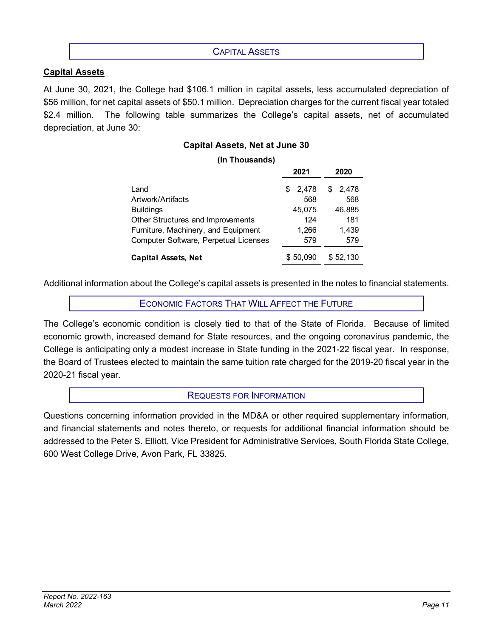#### CAPITAL ASSETS

# **Capital Assets**

At June 30, 2021, the College had \$106.1 million in capital assets, less accumulated depreciation of \$56 million, for net capital assets of \$50.1 million. Depreciation charges for the current fiscal year totaled \$2.4 million. The following table summarizes the College's capital assets, net of accumulated depreciation, at June 30:

#### **Capital Assets, Net at June 30**

#### **(In Thousands)**

|                                                                          | 2021                          | 2020                        |
|--------------------------------------------------------------------------|-------------------------------|-----------------------------|
| Land<br>Artwork/Artifacts<br><b>Buildings</b>                            | 2,478<br>\$.<br>568<br>45,075 | 2,478<br>S<br>568<br>46,885 |
| Other Structures and Improvements<br>Furniture, Machinery, and Equipment | 124<br>1,266                  | 181<br>1,439                |
| <b>Computer Software, Perpetual Licenses</b>                             | 579                           | 579                         |
| <b>Capital Assets, Net</b>                                               | \$50,090                      | \$52,130                    |

Additional information about the College's capital assets is presented in the notes to financial statements.

ECONOMIC FACTORS THAT WILL AFFECT THE FUTURE

The College's economic condition is closely tied to that of the State of Florida. Because of limited economic growth, increased demand for State resources, and the ongoing coronavirus pandemic, the College is anticipating only a modest increase in State funding in the 2021-22 fiscal year. In response, the Board of Trustees elected to maintain the same tuition rate charged for the 2019-20 fiscal year in the 2020-21 fiscal year.

#### REQUESTS FOR INFORMATION

Questions concerning information provided in the MD&A or other required supplementary information, and financial statements and notes thereto, or requests for additional financial information should be addressed to the Peter S. Elliott, Vice President for Administrative Services, South Florida State College, 600 West College Drive, Avon Park, FL 33825.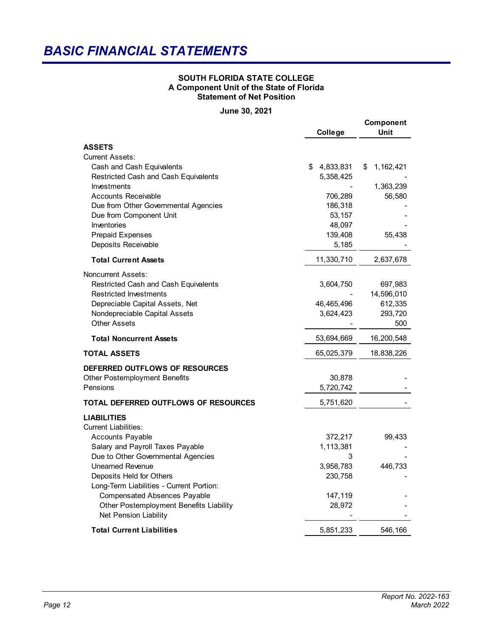# <span id="page-15-0"></span>*BASIC FINANCIAL STATEMENTS*

#### **SOUTH FLORIDA STATE COLLEGE A Component Unit of the State of Florida Statement of Net Position**

**June 30, 2021** 

|                                          |                 | Component       |
|------------------------------------------|-----------------|-----------------|
|                                          | College         | Unit            |
| <b>ASSETS</b>                            |                 |                 |
| <b>Current Assets:</b>                   |                 |                 |
| Cash and Cash Equivalents                | \$<br>4,833,831 | \$<br>1,162,421 |
| Restricted Cash and Cash Equivalents     | 5,358,425       |                 |
| Investments                              |                 | 1,363,239       |
| <b>Accounts Receivable</b>               | 706,289         | 56,580          |
| Due from Other Governmental Agencies     | 186,318         |                 |
| Due from Component Unit                  | 53,157          |                 |
| Inventories                              | 48,097          |                 |
| <b>Prepaid Expenses</b>                  | 139,408         | 55,438          |
| Deposits Receivable                      | 5,185           |                 |
| <b>Total Current Assets</b>              | 11,330,710      | 2,637,678       |
| <b>Noncurrent Assets:</b>                |                 |                 |
| Restricted Cash and Cash Equivalents     | 3,604,750       | 697,983         |
| <b>Restricted Investments</b>            |                 | 14,596,010      |
| Depreciable Capital Assets, Net          | 46,465,496      | 612,335         |
| Nondepreciable Capital Assets            | 3,624,423       | 293,720         |
| <b>Other Assets</b>                      |                 | 500             |
| <b>Total Noncurrent Assets</b>           | 53,694,669      | 16,200,548      |
| <b>TOTAL ASSETS</b>                      | 65,025,379      | 18,838,226      |
| DEFERRED OUTFLOWS OF RESOURCES           |                 |                 |
| <b>Other Postemployment Benefits</b>     | 30,878          |                 |
| Pensions                                 | 5,720,742       |                 |
| TOTAL DEFERRED OUTFLOWS OF RESOURCES     | 5,751,620       |                 |
| <b>LIABILITIES</b>                       |                 |                 |
| <b>Current Liabilities:</b>              |                 |                 |
| <b>Accounts Payable</b>                  | 372,217         | 99,433          |
| Salary and Payroll Taxes Payable         | 1,113,381       |                 |
| Due to Other Governmental Agencies       | 3               |                 |
| <b>Unearned Revenue</b>                  | 3,958,783       | 446,733         |
| Deposits Held for Others                 | 230,758         |                 |
| Long-Term Liabilities - Current Portion: |                 |                 |
| <b>Compensated Absences Payable</b>      | 147,119         |                 |
| Other Postemployment Benefits Liability  | 28,972          |                 |
| Net Pension Liability                    |                 |                 |
| <b>Total Current Liabilities</b>         | 5,851,233       | 546,166         |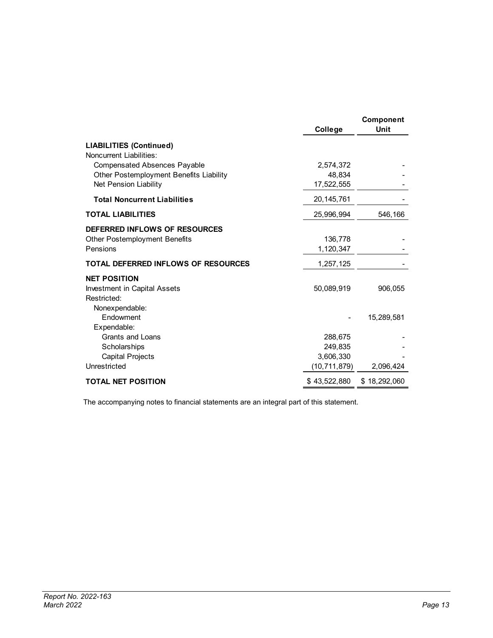|                                                           | College      | Component<br>Unit |
|-----------------------------------------------------------|--------------|-------------------|
| <b>LIABILITIES (Continued)</b><br>Noncurrent Liabilities: |              |                   |
| <b>Compensated Absences Payable</b>                       | 2,574,372    |                   |
| Other Postemployment Benefits Liability                   | 48.834       |                   |
| <b>Net Pension Liability</b>                              | 17,522,555   |                   |
| <b>Total Noncurrent Liabilities</b>                       | 20,145,761   |                   |
| <b>TOTAL LIABILITIES</b>                                  | 25,996,994   | 546,166           |
| DEFERRED INFLOWS OF RESOURCES                             |              |                   |
| <b>Other Postemployment Benefits</b>                      | 136,778      |                   |
| Pensions                                                  | 1,120,347    |                   |
| <b>TOTAL DEFERRED INFLOWS OF RESOURCES</b>                | 1,257,125    |                   |
| <b>NET POSITION</b>                                       |              |                   |
| Investment in Capital Assets                              | 50,089,919   | 906,055           |
| Restricted:                                               |              |                   |
| Nonexpendable:                                            |              |                   |
| Endowment                                                 |              | 15,289,581        |
| Expendable:                                               |              |                   |
| Grants and Loans                                          | 288,675      |                   |
| Scholarships                                              | 249,835      |                   |
| <b>Capital Projects</b>                                   | 3,606,330    |                   |
| Unrestricted                                              | (10,711,879) | 2,096,424         |
| <b>TOTAL NET POSITION</b>                                 | \$43,522,880 | \$18,292,060      |

The accompanying notes to financial statements are an integral part of this statement.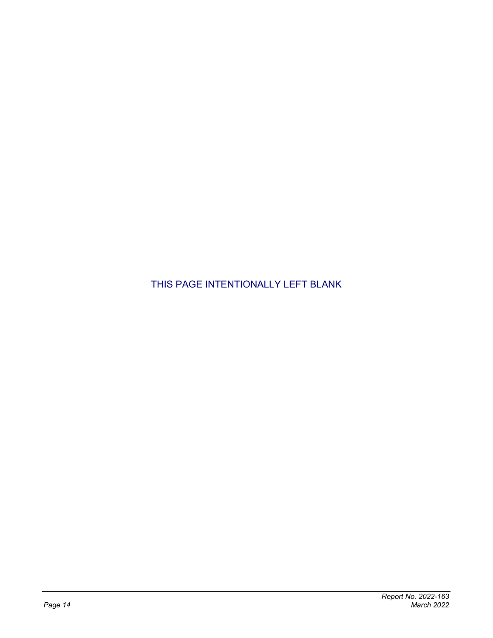THIS PAGE INTENTIONALLY LEFT BLANK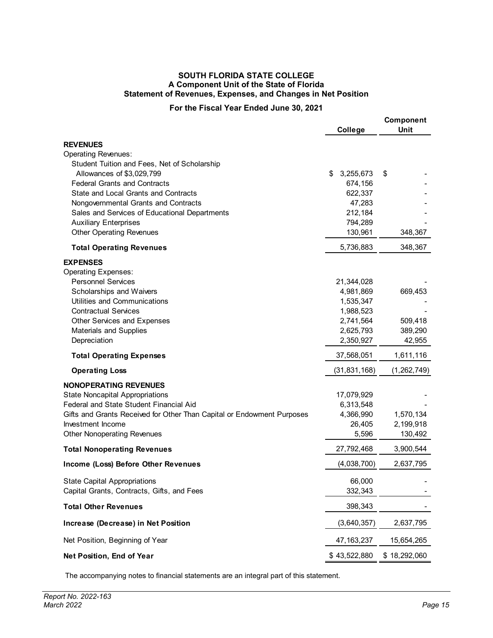#### **SOUTH FLORIDA STATE COLLEGE A Component Unit of the State of Florida Statement of Revenues, Expenses, and Changes in Net Position**

#### **For the Fiscal Year Ended June 30, 2021**

<span id="page-18-0"></span>

|                                                                        | College         | Component<br><b>Unit</b> |
|------------------------------------------------------------------------|-----------------|--------------------------|
| <b>REVENUES</b><br><b>Operating Revenues:</b>                          |                 |                          |
| Student Tuition and Fees, Net of Scholarship                           |                 |                          |
| Allowances of \$3,029,799                                              | 3,255,673<br>\$ | \$                       |
| <b>Federal Grants and Contracts</b>                                    | 674,156         |                          |
| State and Local Grants and Contracts                                   | 622,337         |                          |
| Nongovernmental Grants and Contracts                                   | 47,283          |                          |
| Sales and Services of Educational Departments                          | 212,184         |                          |
| <b>Auxiliary Enterprises</b>                                           | 794,289         |                          |
| <b>Other Operating Revenues</b>                                        | 130,961         | 348,367                  |
| <b>Total Operating Revenues</b>                                        | 5,736,883       | 348,367                  |
| <b>EXPENSES</b>                                                        |                 |                          |
| <b>Operating Expenses:</b><br><b>Personnel Services</b>                | 21,344,028      |                          |
| Scholarships and Waivers                                               | 4,981,869       | 669,453                  |
| Utilities and Communications                                           | 1,535,347       |                          |
| <b>Contractual Services</b>                                            | 1,988,523       |                          |
| Other Services and Expenses                                            | 2,741,564       | 509,418                  |
| <b>Materials and Supplies</b>                                          | 2,625,793       | 389,290                  |
| Depreciation                                                           | 2,350,927       | 42,955                   |
| <b>Total Operating Expenses</b>                                        | 37,568,051      | 1,611,116                |
| <b>Operating Loss</b>                                                  | (31, 831, 168)  | (1, 262, 749)            |
| <b>NONOPERATING REVENUES</b>                                           |                 |                          |
| <b>State Noncapital Appropriations</b>                                 | 17,079,929      |                          |
| Federal and State Student Financial Aid                                | 6,313,548       |                          |
| Gifts and Grants Received for Other Than Capital or Endowment Purposes | 4,366,990       | 1,570,134                |
| Investment Income                                                      | 26,405          | 2,199,918                |
| <b>Other Nonoperating Revenues</b>                                     | 5,596           | 130,492                  |
| <b>Total Nonoperating Revenues</b>                                     | 27,792,468      | 3,900,544                |
| Income (Loss) Before Other Revenues                                    | (4,038,700)     | 2,637,795                |
| <b>State Capital Appropriations</b>                                    | 66,000          |                          |
| Capital Grants, Contracts, Gifts, and Fees                             | 332,343         |                          |
| <b>Total Other Revenues</b>                                            | 398,343         |                          |
| Increase (Decrease) in Net Position                                    | (3,640,357)     | 2,637,795                |
| Net Position, Beginning of Year                                        | 47, 163, 237    | 15,654,265               |
| Net Position, End of Year                                              | \$43,522,880    | \$18,292,060             |

The accompanying notes to financial statements are an integral part of this statement.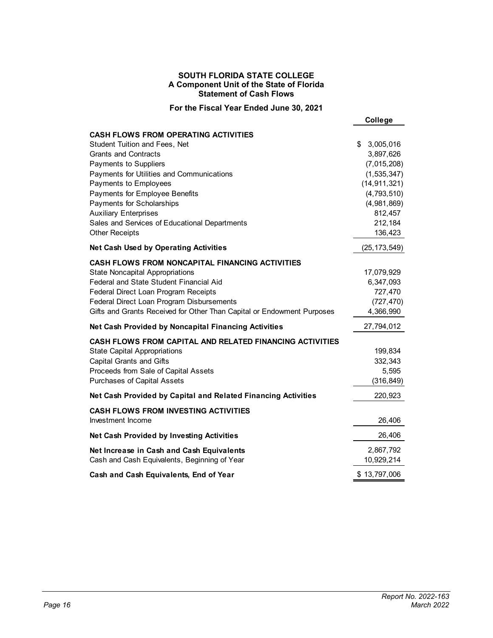#### **SOUTH FLORIDA STATE COLLEGE A Component Unit of the State of Florida Statement of Cash Flows**

**For the Fiscal Year Ended June 30, 2021** 

<span id="page-19-0"></span>

|                                                                                                                                                                                                                                                                                                                                                                                     | College                                                                                                                                     |
|-------------------------------------------------------------------------------------------------------------------------------------------------------------------------------------------------------------------------------------------------------------------------------------------------------------------------------------------------------------------------------------|---------------------------------------------------------------------------------------------------------------------------------------------|
| <b>CASH FLOWS FROM OPERATING ACTIVITIES</b><br>Student Tuition and Fees, Net<br><b>Grants and Contracts</b><br>Payments to Suppliers<br>Payments for Utilities and Communications<br>Payments to Employees<br>Payments for Employee Benefits<br>Payments for Scholarships<br><b>Auxiliary Enterprises</b><br>Sales and Services of Educational Departments<br><b>Other Receipts</b> | \$3,005,016<br>3,897,626<br>(7,015,208)<br>(1, 535, 347)<br>(14, 911, 321)<br>(4, 793, 510)<br>(4,981,869)<br>812,457<br>212,184<br>136,423 |
| <b>Net Cash Used by Operating Activities</b>                                                                                                                                                                                                                                                                                                                                        | (25, 173, 549)                                                                                                                              |
| <b>CASH FLOWS FROM NONCAPITAL FINANCING ACTIVITIES</b><br><b>State Noncapital Appropriations</b><br>Federal and State Student Financial Aid<br>Federal Direct Loan Program Receipts<br>Federal Direct Loan Program Disbursements<br>Gifts and Grants Received for Other Than Capital or Endowment Purposes                                                                          | 17,079,929<br>6,347,093<br>727,470<br>(727, 470)<br>4,366,990                                                                               |
| Net Cash Provided by Noncapital Financing Activities                                                                                                                                                                                                                                                                                                                                | 27,794,012                                                                                                                                  |
| <b>CASH FLOWS FROM CAPITAL AND RELATED FINANCING ACTIVITIES</b><br><b>State Capital Appropriations</b><br><b>Capital Grants and Gifts</b><br>Proceeds from Sale of Capital Assets<br><b>Purchases of Capital Assets</b>                                                                                                                                                             | 199,834<br>332,343<br>5,595<br>(316, 849)                                                                                                   |
| Net Cash Provided by Capital and Related Financing Activities                                                                                                                                                                                                                                                                                                                       | 220,923                                                                                                                                     |
| <b>CASH FLOWS FROM INVESTING ACTIVITIES</b><br>Investment Income                                                                                                                                                                                                                                                                                                                    | 26,406                                                                                                                                      |
| <b>Net Cash Provided by Investing Activities</b>                                                                                                                                                                                                                                                                                                                                    | 26,406                                                                                                                                      |
| Net Increase in Cash and Cash Equivalents<br>Cash and Cash Equivalents, Beginning of Year                                                                                                                                                                                                                                                                                           | 2,867,792<br>10,929,214                                                                                                                     |
| Cash and Cash Equivalents, End of Year                                                                                                                                                                                                                                                                                                                                              | \$13,797,006                                                                                                                                |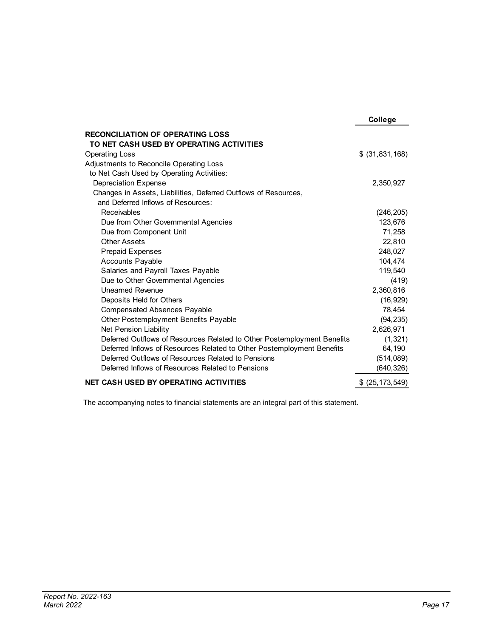|                                                                         | <b>College</b>    |
|-------------------------------------------------------------------------|-------------------|
| <b>RECONCILIATION OF OPERATING LOSS</b>                                 |                   |
| TO NET CASH USED BY OPERATING ACTIVITIES                                |                   |
| <b>Operating Loss</b>                                                   | \$ (31,831,168)   |
| Adjustments to Reconcile Operating Loss                                 |                   |
| to Net Cash Used by Operating Activities:                               |                   |
| Depreciation Expense                                                    | 2,350,927         |
| Changes in Assets, Liabilities, Deferred Outflows of Resources,         |                   |
| and Deferred Inflows of Resources:                                      |                   |
| Receivables                                                             | (246, 205)        |
| Due from Other Governmental Agencies                                    | 123,676           |
| Due from Component Unit                                                 | 71,258            |
| Other Assets                                                            | 22,810            |
| <b>Prepaid Expenses</b>                                                 | 248,027           |
| <b>Accounts Payable</b>                                                 | 104,474           |
| Salaries and Payroll Taxes Payable                                      | 119,540           |
| Due to Other Governmental Agencies                                      | (419)             |
| Unearned Revenue                                                        | 2,360,816         |
| Deposits Held for Others                                                | (16, 929)         |
| <b>Compensated Absences Payable</b>                                     | 78,454            |
| Other Postemployment Benefits Payable                                   | (94, 235)         |
| Net Pension Liability                                                   | 2,626,971         |
| Deferred Outflows of Resources Related to Other Postemployment Benefits | (1, 321)          |
| Deferred Inflows of Resources Related to Other Postemployment Benefits  | 64,190            |
| Deferred Outflows of Resources Related to Pensions                      | (514, 089)        |
| Deferred Inflows of Resources Related to Pensions                       | (640, 326)        |
| <b>NET CASH USED BY OPERATING ACTIVITIES</b>                            | \$ (25, 173, 549) |

The accompanying notes to financial statements are an integral part of this statement.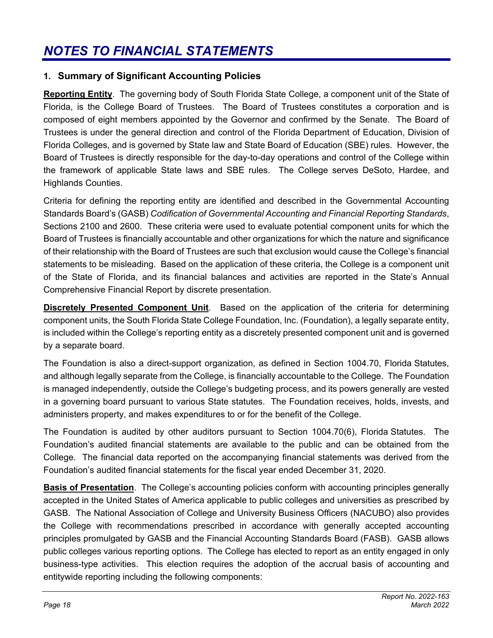# <span id="page-21-0"></span>*NOTES TO FINANCIAL STATEMENTS*

# **1. Summary of Significant Accounting Policies**

**Reporting Entity**. The governing body of South Florida State College, a component unit of the State of Florida, is the College Board of Trustees. The Board of Trustees constitutes a corporation and is composed of eight members appointed by the Governor and confirmed by the Senate. The Board of Trustees is under the general direction and control of the Florida Department of Education, Division of Florida Colleges, and is governed by State law and State Board of Education (SBE) rules. However, the Board of Trustees is directly responsible for the day-to-day operations and control of the College within the framework of applicable State laws and SBE rules. The College serves DeSoto, Hardee, and Highlands Counties.

Criteria for defining the reporting entity are identified and described in the Governmental Accounting Standards Board's (GASB) *Codification of Governmental Accounting and Financial Reporting Standards*, Sections 2100 and 2600. These criteria were used to evaluate potential component units for which the Board of Trustees is financially accountable and other organizations for which the nature and significance of their relationship with the Board of Trustees are such that exclusion would cause the College's financial statements to be misleading. Based on the application of these criteria, the College is a component unit of the State of Florida, and its financial balances and activities are reported in the State's Annual Comprehensive Financial Report by discrete presentation.

**Discretely Presented Component Unit**. Based on the application of the criteria for determining component units, the South Florida State College Foundation, Inc. (Foundation), a legally separate entity, is included within the College's reporting entity as a discretely presented component unit and is governed by a separate board.

The Foundation is also a direct-support organization, as defined in Section 1004.70, Florida Statutes, and although legally separate from the College, is financially accountable to the College. The Foundation is managed independently, outside the College's budgeting process, and its powers generally are vested in a governing board pursuant to various State statutes. The Foundation receives, holds, invests, and administers property, and makes expenditures to or for the benefit of the College.

The Foundation is audited by other auditors pursuant to Section 1004.70(6), Florida Statutes. The Foundation's audited financial statements are available to the public and can be obtained from the College. The financial data reported on the accompanying financial statements was derived from the Foundation's audited financial statements for the fiscal year ended December 31, 2020.

**Basis of Presentation**. The College's accounting policies conform with accounting principles generally accepted in the United States of America applicable to public colleges and universities as prescribed by GASB. The National Association of College and University Business Officers (NACUBO) also provides the College with recommendations prescribed in accordance with generally accepted accounting principles promulgated by GASB and the Financial Accounting Standards Board (FASB). GASB allows public colleges various reporting options. The College has elected to report as an entity engaged in only business-type activities. This election requires the adoption of the accrual basis of accounting and entitywide reporting including the following components: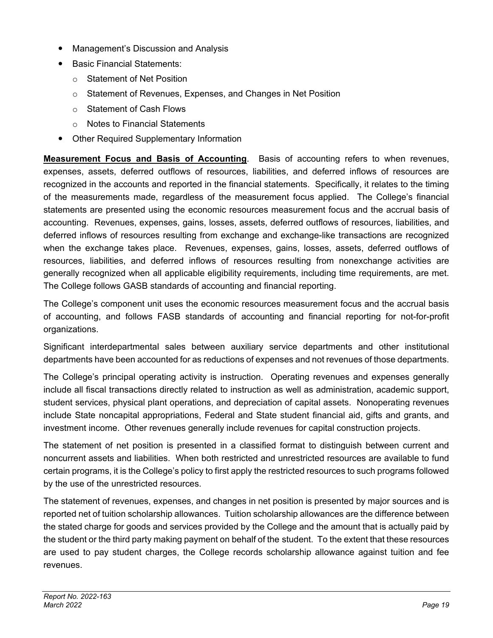- Management's Discussion and Analysis
- Basic Financial Statements:
	- o Statement of Net Position
	- o Statement of Revenues, Expenses, and Changes in Net Position
	- o Statement of Cash Flows
	- o Notes to Financial Statements
- Other Required Supplementary Information

**Measurement Focus and Basis of Accounting**. Basis of accounting refers to when revenues, expenses, assets, deferred outflows of resources, liabilities, and deferred inflows of resources are recognized in the accounts and reported in the financial statements. Specifically, it relates to the timing of the measurements made, regardless of the measurement focus applied. The College's financial statements are presented using the economic resources measurement focus and the accrual basis of accounting. Revenues, expenses, gains, losses, assets, deferred outflows of resources, liabilities, and deferred inflows of resources resulting from exchange and exchange-like transactions are recognized when the exchange takes place. Revenues, expenses, gains, losses, assets, deferred outflows of resources, liabilities, and deferred inflows of resources resulting from nonexchange activities are generally recognized when all applicable eligibility requirements, including time requirements, are met. The College follows GASB standards of accounting and financial reporting.

The College's component unit uses the economic resources measurement focus and the accrual basis of accounting, and follows FASB standards of accounting and financial reporting for not-for-profit organizations.

Significant interdepartmental sales between auxiliary service departments and other institutional departments have been accounted for as reductions of expenses and not revenues of those departments.

The College's principal operating activity is instruction. Operating revenues and expenses generally include all fiscal transactions directly related to instruction as well as administration, academic support, student services, physical plant operations, and depreciation of capital assets. Nonoperating revenues include State noncapital appropriations, Federal and State student financial aid, gifts and grants, and investment income. Other revenues generally include revenues for capital construction projects.

The statement of net position is presented in a classified format to distinguish between current and noncurrent assets and liabilities. When both restricted and unrestricted resources are available to fund certain programs, it is the College's policy to first apply the restricted resources to such programs followed by the use of the unrestricted resources.

The statement of revenues, expenses, and changes in net position is presented by major sources and is reported net of tuition scholarship allowances. Tuition scholarship allowances are the difference between the stated charge for goods and services provided by the College and the amount that is actually paid by the student or the third party making payment on behalf of the student. To the extent that these resources are used to pay student charges, the College records scholarship allowance against tuition and fee revenues.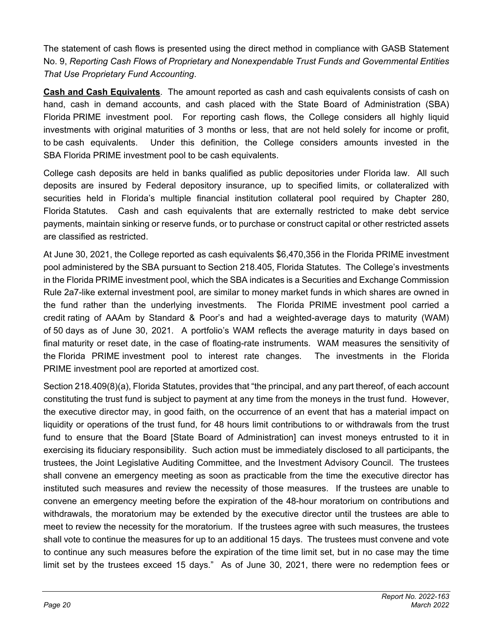The statement of cash flows is presented using the direct method in compliance with GASB Statement No. 9, *Reporting Cash Flows of Proprietary and Nonexpendable Trust Funds and Governmental Entities That Use Proprietary Fund Accounting*.

**Cash and Cash Equivalents**. The amount reported as cash and cash equivalents consists of cash on hand, cash in demand accounts, and cash placed with the State Board of Administration (SBA) Florida PRIME investment pool. For reporting cash flows, the College considers all highly liquid investments with original maturities of 3 months or less, that are not held solely for income or profit, to be cash equivalents. Under this definition, the College considers amounts invested in the SBA Florida PRIME investment pool to be cash equivalents.

College cash deposits are held in banks qualified as public depositories under Florida law. All such deposits are insured by Federal depository insurance, up to specified limits, or collateralized with securities held in Florida's multiple financial institution collateral pool required by Chapter 280, Florida Statutes. Cash and cash equivalents that are externally restricted to make debt service payments, maintain sinking or reserve funds, or to purchase or construct capital or other restricted assets are classified as restricted.

At June 30, 2021, the College reported as cash equivalents \$6,470,356 in the Florida PRIME investment pool administered by the SBA pursuant to Section 218.405, Florida Statutes. The College's investments in the Florida PRIME investment pool, which the SBA indicates is a Securities and Exchange Commission Rule 2a7-like external investment pool, are similar to money market funds in which shares are owned in the fund rather than the underlying investments. The Florida PRIME investment pool carried a credit rating of AAAm by Standard & Poor's and had a weighted-average days to maturity (WAM) of 50 days as of June 30, 2021. A portfolio's WAM reflects the average maturity in days based on final maturity or reset date, in the case of floating-rate instruments. WAM measures the sensitivity of the Florida PRIME investment pool to interest rate changes. The investments in the Florida PRIME investment pool are reported at amortized cost.

Section 218.409(8)(a), Florida Statutes, provides that "the principal, and any part thereof, of each account constituting the trust fund is subject to payment at any time from the moneys in the trust fund. However, the executive director may, in good faith, on the occurrence of an event that has a material impact on liquidity or operations of the trust fund, for 48 hours limit contributions to or withdrawals from the trust fund to ensure that the Board [State Board of Administration] can invest moneys entrusted to it in exercising its fiduciary responsibility. Such action must be immediately disclosed to all participants, the trustees, the Joint Legislative Auditing Committee, and the Investment Advisory Council. The trustees shall convene an emergency meeting as soon as practicable from the time the executive director has instituted such measures and review the necessity of those measures. If the trustees are unable to convene an emergency meeting before the expiration of the 48-hour moratorium on contributions and withdrawals, the moratorium may be extended by the executive director until the trustees are able to meet to review the necessity for the moratorium. If the trustees agree with such measures, the trustees shall vote to continue the measures for up to an additional 15 days. The trustees must convene and vote to continue any such measures before the expiration of the time limit set, but in no case may the time limit set by the trustees exceed 15 days." As of June 30, 2021, there were no redemption fees or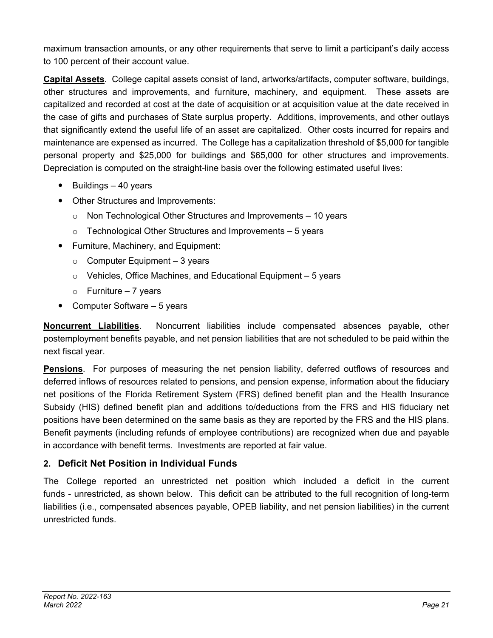maximum transaction amounts, or any other requirements that serve to limit a participant's daily access to 100 percent of their account value.

**Capital Assets**. College capital assets consist of land, artworks/artifacts, computer software, buildings, other structures and improvements, and furniture, machinery, and equipment. These assets are capitalized and recorded at cost at the date of acquisition or at acquisition value at the date received in the case of gifts and purchases of State surplus property. Additions, improvements, and other outlays that significantly extend the useful life of an asset are capitalized. Other costs incurred for repairs and maintenance are expensed as incurred. The College has a capitalization threshold of \$5,000 for tangible personal property and \$25,000 for buildings and \$65,000 for other structures and improvements. Depreciation is computed on the straight-line basis over the following estimated useful lives:

- $\bullet$  Buildings  $-$  40 years
- Other Structures and Improvements:
	- $\circ$  Non Technological Other Structures and Improvements 10 years
	- $\circ$  Technological Other Structures and Improvements  $-5$  years
- Furniture, Machinery, and Equipment:
	- $\circ$  Computer Equipment 3 years
	- $\circ$  Vehicles, Office Machines, and Educational Equipment 5 years
	- $\circ$  Furniture 7 years
- Computer Software 5 years

**Noncurrent Liabilities**. Noncurrent liabilities include compensated absences payable, other postemployment benefits payable, and net pension liabilities that are not scheduled to be paid within the next fiscal year.

**Pensions**. For purposes of measuring the net pension liability, deferred outflows of resources and deferred inflows of resources related to pensions, and pension expense, information about the fiduciary net positions of the Florida Retirement System (FRS) defined benefit plan and the Health Insurance Subsidy (HIS) defined benefit plan and additions to/deductions from the FRS and HIS fiduciary net positions have been determined on the same basis as they are reported by the FRS and the HIS plans. Benefit payments (including refunds of employee contributions) are recognized when due and payable in accordance with benefit terms. Investments are reported at fair value.

# **2. Deficit Net Position in Individual Funds**

The College reported an unrestricted net position which included a deficit in the current funds - unrestricted, as shown below. This deficit can be attributed to the full recognition of long-term liabilities (i.e., compensated absences payable, OPEB liability, and net pension liabilities) in the current unrestricted funds.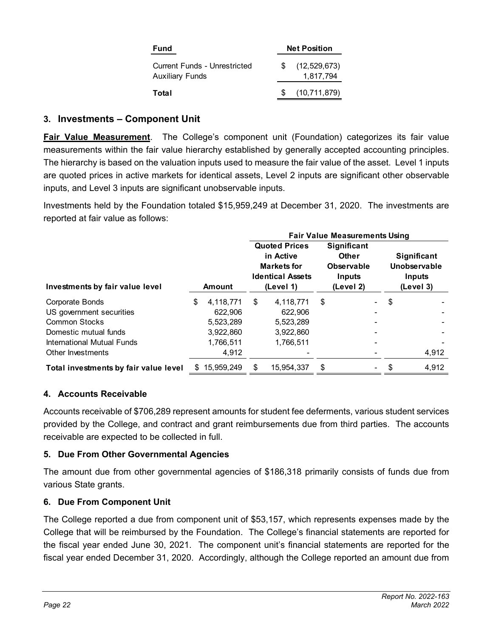| <b>Fund</b>                                                   | <b>Net Position</b>         |  |  |
|---------------------------------------------------------------|-----------------------------|--|--|
| <b>Current Funds - Unrestricted</b><br><b>Auxiliary Funds</b> | (12, 529, 673)<br>1,817,794 |  |  |
| Total                                                         | (10, 711, 879)              |  |  |

# **3. Investments – Component Unit**

**Fair Value Measurement**. The College's component unit (Foundation) categorizes its fair value measurements within the fair value hierarchy established by generally accepted accounting principles. The hierarchy is based on the valuation inputs used to measure the fair value of the asset. Level 1 inputs are quoted prices in active markets for identical assets, Level 2 inputs are significant other observable inputs, and Level 3 inputs are significant unobservable inputs.

Investments held by the Foundation totaled \$15,959,249 at December 31, 2020. The investments are reported at fair value as follows:

|                                       |                 | <b>Fair Value Measurements Using</b> |                                                                                                 |    |                                                                         |    |                                                    |
|---------------------------------------|-----------------|--------------------------------------|-------------------------------------------------------------------------------------------------|----|-------------------------------------------------------------------------|----|----------------------------------------------------|
| Investments by fair value level       | <b>Amount</b>   |                                      | <b>Quoted Prices</b><br>in Active<br><b>Markets for</b><br><b>Identical Assets</b><br>(Level 1) |    | Significant<br><b>Other</b><br><b>Observable</b><br>Inputs<br>(Level 2) |    | Significant<br>Unobservable<br>Inputs<br>(Level 3) |
| Corporate Bonds                       | \$<br>4,118,771 | \$.                                  | 4,118,771                                                                                       | \$ |                                                                         | \$ |                                                    |
| US government securities              | 622,906         |                                      | 622.906                                                                                         |    |                                                                         |    |                                                    |
| <b>Common Stocks</b>                  | 5,523,289       |                                      | 5,523,289                                                                                       |    |                                                                         |    |                                                    |
| Domestic mutual funds                 | 3,922,860       |                                      | 3,922,860                                                                                       |    |                                                                         |    |                                                    |
| International Mutual Funds            | 1,766,511       |                                      | 1,766,511                                                                                       |    |                                                                         |    |                                                    |
| Other Investments                     | 4,912           |                                      |                                                                                                 |    |                                                                         |    | 4,912                                              |
| Total investments by fair value level | 15,959,249      |                                      | 15,954,337                                                                                      | \$ | ۰                                                                       | \$ | 4,912                                              |

# **4. Accounts Receivable**

Accounts receivable of \$706,289 represent amounts for student fee deferments, various student services provided by the College, and contract and grant reimbursements due from third parties. The accounts receivable are expected to be collected in full.

# **5. Due From Other Governmental Agencies**

The amount due from other governmental agencies of \$186,318 primarily consists of funds due from various State grants.

# **6. Due From Component Unit**

The College reported a due from component unit of \$53,157, which represents expenses made by the College that will be reimbursed by the Foundation. The College's financial statements are reported for the fiscal year ended June 30, 2021. The component unit's financial statements are reported for the fiscal year ended December 31, 2020. Accordingly, although the College reported an amount due from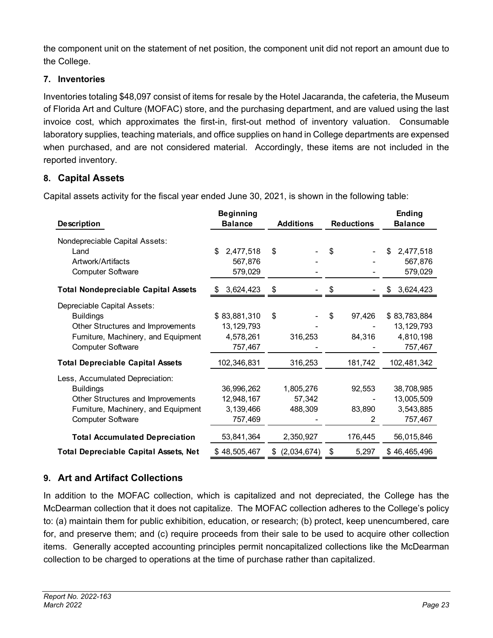the component unit on the statement of net position, the component unit did not report an amount due to the College.

# **7. Inventories**

Inventories totaling \$48,097 consist of items for resale by the Hotel Jacaranda, the cafeteria, the Museum of Florida Art and Culture (MOFAC) store, and the purchasing department, and are valued using the last invoice cost, which approximates the first-in, first-out method of inventory valuation. Consumable laboratory supplies, teaching materials, and office supplies on hand in College departments are expensed when purchased, and are not considered material. Accordingly, these items are not included in the reported inventory.

# **8. Capital Assets**

Capital assets activity for the fiscal year ended June 30, 2021, is shown in the following table:

| <b>Description</b>                           | <b>Beginning</b><br><b>Balance</b> | <b>Additions</b>  | <b>Reductions</b> | Ending<br><b>Balance</b> |
|----------------------------------------------|------------------------------------|-------------------|-------------------|--------------------------|
| Nondepreciable Capital Assets:<br>Land       | \$<br>2,477,518                    | \$                | \$                | \$<br>2,477,518          |
| Artwork/Artifacts                            | 567,876                            |                   |                   | 567,876                  |
| <b>Computer Software</b>                     | 579,029                            |                   |                   | 579,029                  |
| <b>Total Nondepreciable Capital Assets</b>   | 3,624,423                          | \$                | \$                | 3,624,423                |
| Depreciable Capital Assets:                  |                                    |                   |                   |                          |
| <b>Buildings</b>                             | \$83,881,310                       | \$                | \$<br>97,426      | \$83,783,884             |
| Other Structures and Improvements            | 13, 129, 793                       |                   |                   | 13, 129, 793             |
| Furniture, Machinery, and Equipment          | 4,578,261                          | 316,253           | 84,316            | 4,810,198                |
| <b>Computer Software</b>                     | 757,467                            |                   |                   | 757,467                  |
| <b>Total Depreciable Capital Assets</b>      | 102,346,831                        | 316,253           | 181,742           | 102,481,342              |
| Less, Accumulated Depreciation:              |                                    |                   |                   |                          |
| <b>Buildings</b>                             | 36,996,262                         | 1,805,276         | 92,553            | 38,708,985               |
| Other Structures and Improvements            | 12,948,167                         | 57,342            |                   | 13,005,509               |
| Furniture, Machinery, and Equipment          | 3,139,466                          | 488,309           | 83,890            | 3,543,885                |
| <b>Computer Software</b>                     | 757,469                            |                   | 2                 | 757,467                  |
| <b>Total Accumulated Depreciation</b>        | 53,841,364                         | 2,350,927         | 176,445           | 56,015,846               |
| <b>Total Depreciable Capital Assets, Net</b> | \$48,505,467                       | (2,034,674)<br>\$ | \$<br>5,297       | 46,465,496<br>\$         |

# **9. Art and Artifact Collections**

In addition to the MOFAC collection, which is capitalized and not depreciated, the College has the McDearman collection that it does not capitalize. The MOFAC collection adheres to the College's policy to: (a) maintain them for public exhibition, education, or research; (b) protect, keep unencumbered, care for, and preserve them; and (c) require proceeds from their sale to be used to acquire other collection items. Generally accepted accounting principles permit noncapitalized collections like the McDearman collection to be charged to operations at the time of purchase rather than capitalized.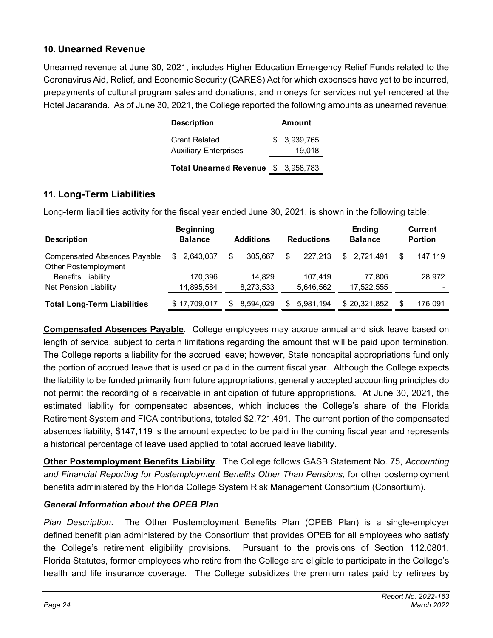# **10. Unearned Revenue**

Unearned revenue at June 30, 2021, includes Higher Education Emergency Relief Funds related to the Coronavirus Aid, Relief, and Economic Security (CARES) Act for which expenses have yet to be incurred, prepayments of cultural program sales and donations, and moneys for services not yet rendered at the Hotel Jacaranda. As of June 30, 2021, the College reported the following amounts as unearned revenue:

| <b>Description</b>                                   | Amount |                       |  |
|------------------------------------------------------|--------|-----------------------|--|
| <b>Grant Related</b><br><b>Auxiliary Enterprises</b> |        | \$3.939.765<br>19.018 |  |
| <b>Total Unearned Revenue \$ 3,958,783</b>           |        |                       |  |

# **11. Long-Term Liabilities**

Long-term liabilities activity for the fiscal year ended June 30, 2021, is shown in the following table:

| <b>Description</b>                  | <b>Beginning</b><br><b>Balance</b> | <b>Additions</b> | <b>Reductions</b> | <b>Ending</b><br><b>Balance</b> | <b>Current</b><br><b>Portion</b> |
|-------------------------------------|------------------------------------|------------------|-------------------|---------------------------------|----------------------------------|
| <b>Compensated Absences Payable</b> | 2.643.037                          | 305.667          | 227.213           | 2.721.491                       | 147,119                          |
| <b>Other Postemployment</b>         | S.                                 | S                |                   | S                               | \$                               |
| <b>Benefits Liability</b>           | 170.396                            | 14.829           | 107.419           | 77.806                          | 28,972                           |
| Net Pension Liability               | 14,895,584                         | 8,273,533        | 5,646,562         | 17,522,555                      |                                  |
| <b>Total Long-Term Liabilities</b>  | \$17,709,017                       | 8,594,029<br>S   | 5.981.194         | \$20,321,852                    | 176,091<br>\$                    |

**Compensated Absences Payable**. College employees may accrue annual and sick leave based on length of service, subject to certain limitations regarding the amount that will be paid upon termination. The College reports a liability for the accrued leave; however, State noncapital appropriations fund only the portion of accrued leave that is used or paid in the current fiscal year. Although the College expects the liability to be funded primarily from future appropriations, generally accepted accounting principles do not permit the recording of a receivable in anticipation of future appropriations. At June 30, 2021, the estimated liability for compensated absences, which includes the College's share of the Florida Retirement System and FICA contributions, totaled \$2,721,491. The current portion of the compensated absences liability, \$147,119 is the amount expected to be paid in the coming fiscal year and represents a historical percentage of leave used applied to total accrued leave liability.

**Other Postemployment Benefits Liability**. The College follows GASB Statement No. 75, *Accounting and Financial Reporting for Postemployment Benefits Other Than Pensions*, for other postemployment benefits administered by the Florida College System Risk Management Consortium (Consortium).

# *General Information about the OPEB Plan*

*Plan Description*. The Other Postemployment Benefits Plan (OPEB Plan) is a single-employer defined benefit plan administered by the Consortium that provides OPEB for all employees who satisfy the College's retirement eligibility provisions. Pursuant to the provisions of Section 112.0801, Florida Statutes, former employees who retire from the College are eligible to participate in the College's health and life insurance coverage. The College subsidizes the premium rates paid by retirees by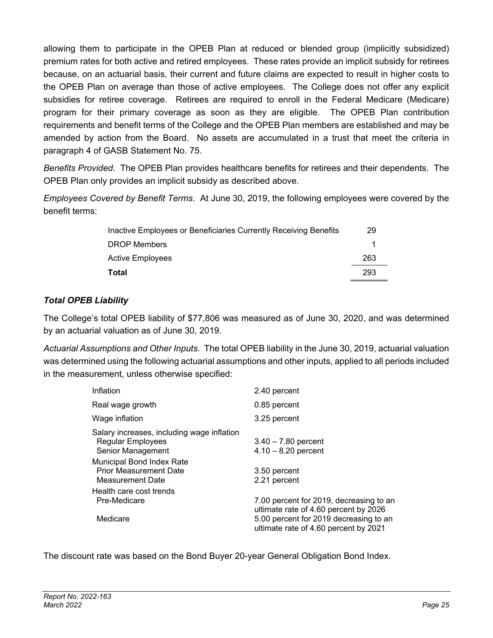allowing them to participate in the OPEB Plan at reduced or blended group (implicitly subsidized) premium rates for both active and retired employees. These rates provide an implicit subsidy for retirees because, on an actuarial basis, their current and future claims are expected to result in higher costs to the OPEB Plan on average than those of active employees. The College does not offer any explicit subsidies for retiree coverage. Retirees are required to enroll in the Federal Medicare (Medicare) program for their primary coverage as soon as they are eligible. The OPEB Plan contribution requirements and benefit terms of the College and the OPEB Plan members are established and may be amended by action from the Board. No assets are accumulated in a trust that meet the criteria in paragraph 4 of GASB Statement No. 75.

*Benefits Provided*. The OPEB Plan provides healthcare benefits for retirees and their dependents. The OPEB Plan only provides an implicit subsidy as described above.

*Employees Covered by Benefit Terms*. At June 30, 2019, the following employees were covered by the benefit terms:

| Inactive Employees or Beneficiaries Currently Receiving Benefits | 29  |
|------------------------------------------------------------------|-----|
| <b>DROP Members</b>                                              |     |
| <b>Active Employees</b>                                          | 263 |
| Total                                                            | 293 |

# *Total OPEB Liability*

The College's total OPEB liability of \$77,806 was measured as of June 30, 2020, and was determined by an actuarial valuation as of June 30, 2019.

*Actuarial Assumptions and Other Inputs*. The total OPEB liability in the June 30, 2019, actuarial valuation was determined using the following actuarial assumptions and other inputs, applied to all periods included in the measurement, unless otherwise specified:

| Inflation                                                                                   | 2.40 percent                                                                     |
|---------------------------------------------------------------------------------------------|----------------------------------------------------------------------------------|
| Real wage growth                                                                            | 0.85 percent                                                                     |
| Wage inflation                                                                              | 3.25 percent                                                                     |
| Salary increases, including wage inflation<br><b>Regular Employees</b><br>Senior Management | $3.40 - 7.80$ percent<br>$4.10 - 8.20$ percent                                   |
| <b>Municipal Bond Index Rate</b><br><b>Prior Measurement Date</b><br>Measurement Date       | 3.50 percent<br>2.21 percent                                                     |
| Health care cost trends                                                                     |                                                                                  |
| Pre-Medicare                                                                                | 7.00 percent for 2019, decreasing to an<br>ultimate rate of 4.60 percent by 2026 |
| Medicare                                                                                    | 5.00 percent for 2019 decreasing to an<br>ultimate rate of 4.60 percent by 2021  |

The discount rate was based on the Bond Buyer 20-year General Obligation Bond Index.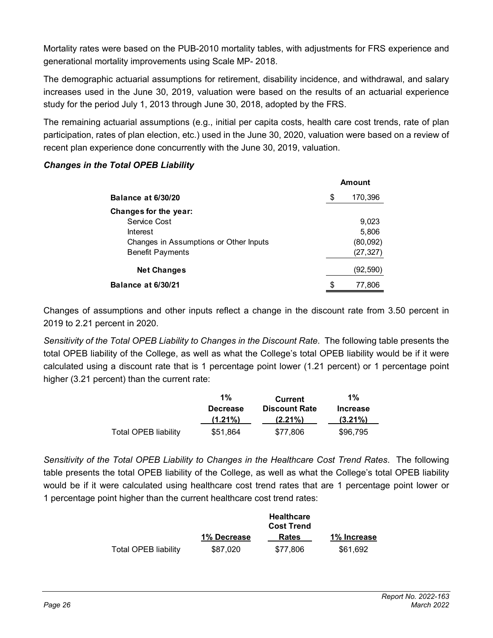Mortality rates were based on the PUB-2010 mortality tables, with adjustments for FRS experience and generational mortality improvements using Scale MP- 2018.

The demographic actuarial assumptions for retirement, disability incidence, and withdrawal, and salary increases used in the June 30, 2019, valuation were based on the results of an actuarial experience study for the period July 1, 2013 through June 30, 2018, adopted by the FRS.

The remaining actuarial assumptions (e.g., initial per capita costs, health care cost trends, rate of plan participation, rates of plan election, etc.) used in the June 30, 2020, valuation were based on a review of recent plan experience done concurrently with the June 30, 2019, valuation.

#### *Changes in the Total OPEB Liability*

|                                        | <b>Amount</b> |
|----------------------------------------|---------------|
| Balance at 6/30/20                     | \$<br>170,396 |
| Changes for the year:                  |               |
| Service Cost                           | 9,023         |
| Interest                               | 5,806         |
| Changes in Assumptions or Other Inputs | (80,092)      |
| <b>Benefit Payments</b>                | (27, 327)     |
| <b>Net Changes</b>                     | (92,590)      |
| Balance at 6/30/21                     | \$<br>77,806  |

Changes of assumptions and other inputs reflect a change in the discount rate from 3.50 percent in 2019 to 2.21 percent in 2020.

*Sensitivity of the Total OPEB Liability to Changes in the Discount Rate*. The following table presents the total OPEB liability of the College, as well as what the College's total OPEB liability would be if it were calculated using a discount rate that is 1 percentage point lower (1.21 percent) or 1 percentage point higher (3.21 percent) than the current rate:

|                             | 1%              | <b>Current</b>       | $1\%$           |
|-----------------------------|-----------------|----------------------|-----------------|
|                             | <b>Decrease</b> | <b>Discount Rate</b> | <b>Increase</b> |
|                             | $(1.21\%)$      | $(2.21\%)$           | $(3.21\%)$      |
| <b>Total OPEB liability</b> | \$51,864        | \$77,806             | \$96,795        |

*Sensitivity of the Total OPEB Liability to Changes in the Healthcare Cost Trend Rates*. The following table presents the total OPEB liability of the College, as well as what the College's total OPEB liability would be if it were calculated using healthcare cost trend rates that are 1 percentage point lower or 1 percentage point higher than the current healthcare cost trend rates:

|                      |             | <b>Healthcare</b><br><b>Cost Trend</b> |             |
|----------------------|-------------|----------------------------------------|-------------|
|                      | 1% Decrease | <b>Rates</b>                           | 1% Increase |
| Total OPEB liability | \$87.020    | \$77.806                               | \$61.692    |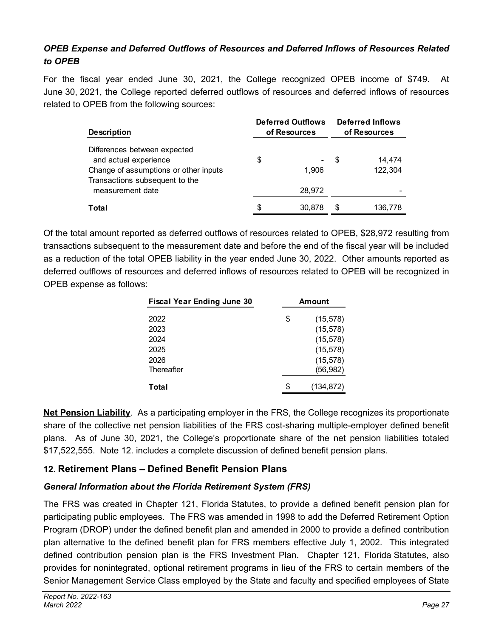# *OPEB Expense and Deferred Outflows of Resources and Deferred Inflows of Resources Related to OPEB*

For the fiscal year ended June 30, 2021, the College recognized OPEB income of \$749. At June 30, 2021, the College reported deferred outflows of resources and deferred inflows of resources related to OPEB from the following sources:

| <b>Description</b>                                                      | <b>Deferred Outflows</b><br>of Resources | <b>Deferred Inflows</b><br>of Resources |         |  |
|-------------------------------------------------------------------------|------------------------------------------|-----------------------------------------|---------|--|
| Differences between expected<br>and actual experience                   | \$                                       | -S                                      | 14.474  |  |
| Change of assumptions or other inputs<br>Transactions subsequent to the | 1.906                                    |                                         | 122,304 |  |
| measurement date                                                        | 28,972                                   |                                         |         |  |
| Total                                                                   | \$<br>30.878                             | S                                       | 136,778 |  |

Of the total amount reported as deferred outflows of resources related to OPEB, \$28,972 resulting from transactions subsequent to the measurement date and before the end of the fiscal year will be included as a reduction of the total OPEB liability in the year ended June 30, 2022. Other amounts reported as deferred outflows of resources and deferred inflows of resources related to OPEB will be recognized in OPEB expense as follows:

| <b>Fiscal Year Ending June 30</b> |    | Amount                 |  |  |
|-----------------------------------|----|------------------------|--|--|
| 2022<br>2023                      | \$ | (15, 578)<br>(15, 578) |  |  |
| 2024                              |    | (15, 578)              |  |  |
| 2025                              |    | (15, 578)              |  |  |
| 2026                              |    | (15, 578)              |  |  |
| Thereafter                        |    | (56, 982)              |  |  |
| Total                             | \$ | (134, 872)             |  |  |

**Net Pension Liability**. As a participating employer in the FRS, the College recognizes its proportionate share of the collective net pension liabilities of the FRS cost-sharing multiple-employer defined benefit plans. As of June 30, 2021, the College's proportionate share of the net pension liabilities totaled \$17,522,555. Note 12. includes a complete discussion of defined benefit pension plans.

# **12. Retirement Plans – Defined Benefit Pension Plans**

# *General Information about the Florida Retirement System (FRS)*

The FRS was created in Chapter 121, Florida Statutes, to provide a defined benefit pension plan for participating public employees. The FRS was amended in 1998 to add the Deferred Retirement Option Program (DROP) under the defined benefit plan and amended in 2000 to provide a defined contribution plan alternative to the defined benefit plan for FRS members effective July 1, 2002. This integrated defined contribution pension plan is the FRS Investment Plan. Chapter 121, Florida Statutes, also provides for nonintegrated, optional retirement programs in lieu of the FRS to certain members of the Senior Management Service Class employed by the State and faculty and specified employees of State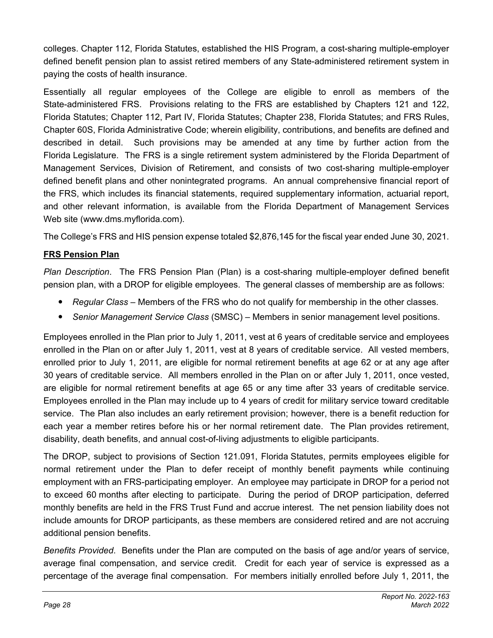colleges. Chapter 112, Florida Statutes, established the HIS Program, a cost-sharing multiple-employer defined benefit pension plan to assist retired members of any State-administered retirement system in paying the costs of health insurance.

Essentially all regular employees of the College are eligible to enroll as members of the State-administered FRS. Provisions relating to the FRS are established by Chapters 121 and 122, Florida Statutes; Chapter 112, Part IV, Florida Statutes; Chapter 238, Florida Statutes; and FRS Rules, Chapter 60S, Florida Administrative Code; wherein eligibility, contributions, and benefits are defined and described in detail. Such provisions may be amended at any time by further action from the Florida Legislature. The FRS is a single retirement system administered by the Florida Department of Management Services, Division of Retirement, and consists of two cost-sharing multiple-employer defined benefit plans and other nonintegrated programs. An annual comprehensive financial report of the FRS, which includes its financial statements, required supplementary information, actuarial report, and other relevant information, is available from the Florida Department of Management Services Web site (www.dms.myflorida.com).

The College's FRS and HIS pension expense totaled \$2,876,145 for the fiscal year ended June 30, 2021.

# **FRS Pension Plan**

*Plan Description*. The FRS Pension Plan (Plan) is a cost-sharing multiple-employer defined benefit pension plan, with a DROP for eligible employees. The general classes of membership are as follows:

- *Regular Class* Members of the FRS who do not qualify for membership in the other classes.
- *Senior Management Service Class* (SMSC) Members in senior management level positions.

Employees enrolled in the Plan prior to July 1, 2011, vest at 6 years of creditable service and employees enrolled in the Plan on or after July 1, 2011, vest at 8 years of creditable service. All vested members, enrolled prior to July 1, 2011, are eligible for normal retirement benefits at age 62 or at any age after 30 years of creditable service. All members enrolled in the Plan on or after July 1, 2011, once vested, are eligible for normal retirement benefits at age 65 or any time after 33 years of creditable service. Employees enrolled in the Plan may include up to 4 years of credit for military service toward creditable service. The Plan also includes an early retirement provision; however, there is a benefit reduction for each year a member retires before his or her normal retirement date. The Plan provides retirement, disability, death benefits, and annual cost-of-living adjustments to eligible participants.

The DROP, subject to provisions of Section 121.091, Florida Statutes, permits employees eligible for normal retirement under the Plan to defer receipt of monthly benefit payments while continuing employment with an FRS-participating employer. An employee may participate in DROP for a period not to exceed 60 months after electing to participate. During the period of DROP participation, deferred monthly benefits are held in the FRS Trust Fund and accrue interest. The net pension liability does not include amounts for DROP participants, as these members are considered retired and are not accruing additional pension benefits.

*Benefits Provided*. Benefits under the Plan are computed on the basis of age and/or years of service, average final compensation, and service credit. Credit for each year of service is expressed as a percentage of the average final compensation. For members initially enrolled before July 1, 2011, the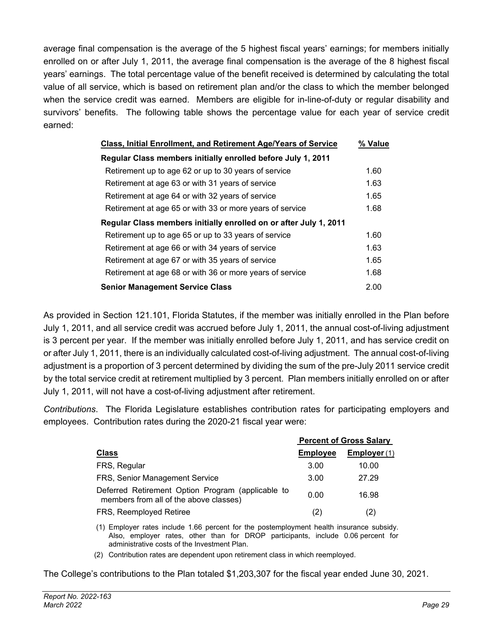average final compensation is the average of the 5 highest fiscal years' earnings; for members initially enrolled on or after July 1, 2011, the average final compensation is the average of the 8 highest fiscal years' earnings. The total percentage value of the benefit received is determined by calculating the total value of all service, which is based on retirement plan and/or the class to which the member belonged when the service credit was earned. Members are eligible for in-line-of-duty or regular disability and survivors' benefits. The following table shows the percentage value for each year of service credit earned:

| Class, Initial Enrollment, and Retirement Age/Years of Service    | % Value |
|-------------------------------------------------------------------|---------|
| Regular Class members initially enrolled before July 1, 2011      |         |
| Retirement up to age 62 or up to 30 years of service              | 1.60    |
| Retirement at age 63 or with 31 years of service                  | 1.63    |
| Retirement at age 64 or with 32 years of service                  | 1.65    |
| Retirement at age 65 or with 33 or more years of service          | 1.68    |
| Regular Class members initially enrolled on or after July 1, 2011 |         |
| Retirement up to age 65 or up to 33 years of service              | 1.60    |
| Retirement at age 66 or with 34 years of service                  | 1.63    |
| Retirement at age 67 or with 35 years of service                  | 1.65    |
| Retirement at age 68 or with 36 or more years of service          | 1.68    |
| <b>Senior Management Service Class</b>                            | 2.00    |

As provided in Section 121.101, Florida Statutes, if the member was initially enrolled in the Plan before July 1, 2011, and all service credit was accrued before July 1, 2011, the annual cost-of-living adjustment is 3 percent per year. If the member was initially enrolled before July 1, 2011, and has service credit on or after July 1, 2011, there is an individually calculated cost-of-living adjustment. The annual cost-of-living adjustment is a proportion of 3 percent determined by dividing the sum of the pre-July 2011 service credit by the total service credit at retirement multiplied by 3 percent. Plan members initially enrolled on or after July 1, 2011, will not have a cost-of-living adjustment after retirement.

*Contributions*. The Florida Legislature establishes contribution rates for participating employers and employees. Contribution rates during the 2020-21 fiscal year were:

|                                                                                             | <b>Percent of Gross Salary</b> |             |  |
|---------------------------------------------------------------------------------------------|--------------------------------|-------------|--|
| <b>Class</b>                                                                                | <b>Employee</b>                | Emplayer(1) |  |
| FRS, Regular                                                                                | 3.00                           | 10.00       |  |
| FRS, Senior Management Service                                                              | 3.00                           | 27.29       |  |
| Deferred Retirement Option Program (applicable to<br>members from all of the above classes) | 0.00                           | 16.98       |  |
| FRS, Reemployed Retiree                                                                     | (2)                            | (2)         |  |

 (1) Employer rates include 1.66 percent for the postemployment health insurance subsidy. Also, employer rates, other than for DROP participants, include 0.06 percent for administrative costs of the Investment Plan.

(2) Contribution rates are dependent upon retirement class in which reemployed.

The College's contributions to the Plan totaled \$1,203,307 for the fiscal year ended June 30, 2021.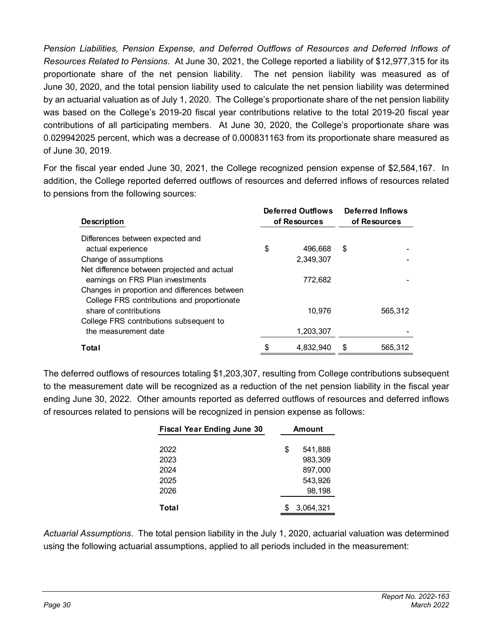*Pension Liabilities, Pension Expense, and Deferred Outflows of Resources and Deferred Inflows of Resources Related to Pensions*. At June 30, 2021, the College reported a liability of \$12,977,315 for its proportionate share of the net pension liability. The net pension liability was measured as of June 30, 2020, and the total pension liability used to calculate the net pension liability was determined by an actuarial valuation as of July 1, 2020. The College's proportionate share of the net pension liability was based on the College's 2019-20 fiscal year contributions relative to the total 2019-20 fiscal year contributions of all participating members. At June 30, 2020, the College's proportionate share was 0.029942025 percent, which was a decrease of 0.000831163 from its proportionate share measured as of June 30, 2019.

For the fiscal year ended June 30, 2021, the College recognized pension expense of \$2,584,167. In addition, the College reported deferred outflows of resources and deferred inflows of resources related to pensions from the following sources:

| <b>Description</b>                                                                           |    | <b>Deferred Outflows</b><br>of Resources |    | <b>Deferred Inflows</b><br>of Resources |  |
|----------------------------------------------------------------------------------------------|----|------------------------------------------|----|-----------------------------------------|--|
| Differences between expected and                                                             |    |                                          |    |                                         |  |
| actual experience                                                                            | \$ | 496.668                                  | S  |                                         |  |
| Change of assumptions                                                                        |    | 2,349,307                                |    |                                         |  |
| Net difference between projected and actual<br>earnings on FRS Plan investments              |    | 772,682                                  |    |                                         |  |
| Changes in proportion and differences between<br>College FRS contributions and proportionate |    |                                          |    |                                         |  |
| share of contributions                                                                       |    | 10.976                                   |    | 565.312                                 |  |
| College FRS contributions subsequent to                                                      |    |                                          |    |                                         |  |
| the measurement date                                                                         |    | 1,203,307                                |    |                                         |  |
| Total                                                                                        | \$ | 4,832,940                                | \$ | 565,312                                 |  |

The deferred outflows of resources totaling \$1,203,307, resulting from College contributions subsequent to the measurement date will be recognized as a reduction of the net pension liability in the fiscal year ending June 30, 2022. Other amounts reported as deferred outflows of resources and deferred inflows of resources related to pensions will be recognized in pension expense as follows:

| <b>Fiscal Year Ending June 30</b> | Amount |           |
|-----------------------------------|--------|-----------|
|                                   |        |           |
| 2022                              | \$     | 541,888   |
| 2023                              |        | 983,309   |
| 2024                              |        | 897,000   |
| 2025                              |        | 543,926   |
| 2026                              |        | 98,198    |
| Total                             |        | 3,064,321 |

*Actuarial Assumptions*. The total pension liability in the July 1, 2020, actuarial valuation was determined using the following actuarial assumptions, applied to all periods included in the measurement: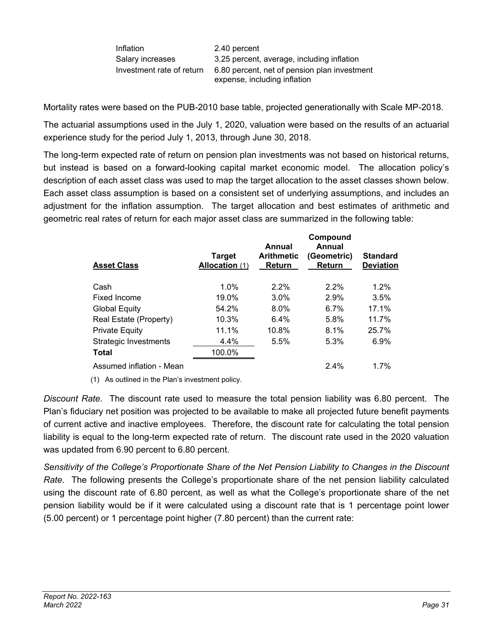| Inflation                 | 2.40 percent                                                                 |
|---------------------------|------------------------------------------------------------------------------|
| Salary increases          | 3.25 percent, average, including inflation                                   |
| Investment rate of return | 6.80 percent, net of pension plan investment<br>expense, including inflation |

Mortality rates were based on the PUB-2010 base table, projected generationally with Scale MP-2018.

The actuarial assumptions used in the July 1, 2020, valuation were based on the results of an actuarial experience study for the period July 1, 2013, through June 30, 2018.

The long-term expected rate of return on pension plan investments was not based on historical returns, but instead is based on a forward-looking capital market economic model. The allocation policy's description of each asset class was used to map the target allocation to the asset classes shown below. Each asset class assumption is based on a consistent set of underlying assumptions, and includes an adjustment for the inflation assumption. The target allocation and best estimates of arithmetic and geometric real rates of return for each major asset class are summarized in the following table:

| <b>Asset Class</b>           | <b>Target</b><br>Allocation (1) | Annual<br><b>Arithmetic</b><br><b>Return</b> | Compound<br>Annual<br>(Geometric)<br>Return | <b>Standard</b><br><b>Deviation</b> |
|------------------------------|---------------------------------|----------------------------------------------|---------------------------------------------|-------------------------------------|
| Cash                         | 1.0%                            | 2.2%                                         | 2.2%                                        | $1.2\%$                             |
| <b>Fixed Income</b>          | 19.0%                           | 3.0%                                         | 2.9%                                        | 3.5%                                |
| <b>Global Equity</b>         | 54.2%                           | 8.0%                                         | 6.7%                                        | 17.1%                               |
| Real Estate (Property)       | 10.3%                           | 6.4%                                         | 5.8%                                        | 11.7%                               |
| <b>Private Equity</b>        | 11.1%                           | 10.8%                                        | 8.1%                                        | 25.7%                               |
| <b>Strategic Investments</b> | 4.4%                            | 5.5%                                         | 5.3%                                        | 6.9%                                |
| Total                        | 100.0%                          |                                              |                                             |                                     |
| Assumed inflation - Mean     |                                 |                                              | 2.4%                                        | 1.7%                                |

(1) As outlined in the Plan's investment policy.

*Discount Rate*. The discount rate used to measure the total pension liability was 6.80 percent. The Plan's fiduciary net position was projected to be available to make all projected future benefit payments of current active and inactive employees. Therefore, the discount rate for calculating the total pension liability is equal to the long-term expected rate of return. The discount rate used in the 2020 valuation was updated from 6.90 percent to 6.80 percent.

*Sensitivity of the College's Proportionate Share of the Net Pension Liability to Changes in the Discount Rate*. The following presents the College's proportionate share of the net pension liability calculated using the discount rate of 6.80 percent, as well as what the College's proportionate share of the net pension liability would be if it were calculated using a discount rate that is 1 percentage point lower (5.00 percent) or 1 percentage point higher (7.80 percent) than the current rate: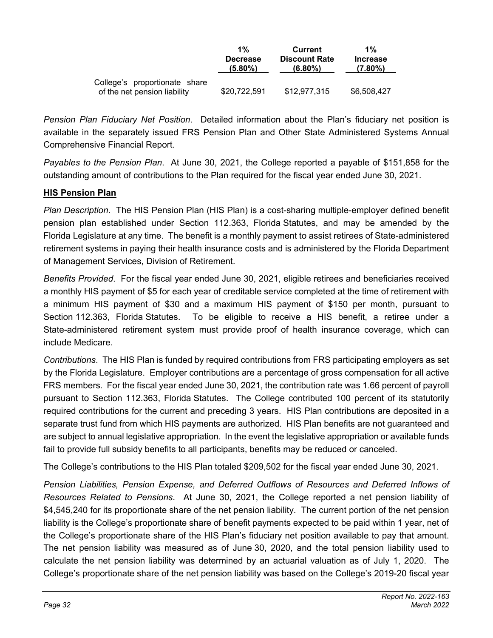|                                                               | 1%              | Current              | $1\%$           |
|---------------------------------------------------------------|-----------------|----------------------|-----------------|
|                                                               | <b>Decrease</b> | <b>Discount Rate</b> | <b>Increase</b> |
|                                                               | $(5.80\%)$      | $(6.80\%)$           | $(7.80\%)$      |
| College's proportionate share<br>of the net pension liability | \$20,722,591    | \$12,977,315         | \$6,508,427     |

*Pension Plan Fiduciary Net Position*. Detailed information about the Plan's fiduciary net position is available in the separately issued FRS Pension Plan and Other State Administered Systems Annual Comprehensive Financial Report.

*Payables to the Pension Plan*. At June 30, 2021, the College reported a payable of \$151,858 for the outstanding amount of contributions to the Plan required for the fiscal year ended June 30, 2021.

# **HIS Pension Plan**

*Plan Description*. The HIS Pension Plan (HIS Plan) is a cost-sharing multiple-employer defined benefit pension plan established under Section 112.363, Florida Statutes, and may be amended by the Florida Legislature at any time. The benefit is a monthly payment to assist retirees of State-administered retirement systems in paying their health insurance costs and is administered by the Florida Department of Management Services, Division of Retirement.

*Benefits Provided*. For the fiscal year ended June 30, 2021, eligible retirees and beneficiaries received a monthly HIS payment of \$5 for each year of creditable service completed at the time of retirement with a minimum HIS payment of \$30 and a maximum HIS payment of \$150 per month, pursuant to Section 112.363, Florida Statutes. To be eligible to receive a HIS benefit, a retiree under a State-administered retirement system must provide proof of health insurance coverage, which can include Medicare.

*Contributions*. The HIS Plan is funded by required contributions from FRS participating employers as set by the Florida Legislature. Employer contributions are a percentage of gross compensation for all active FRS members. For the fiscal year ended June 30, 2021, the contribution rate was 1.66 percent of payroll pursuant to Section 112.363, Florida Statutes. The College contributed 100 percent of its statutorily required contributions for the current and preceding 3 years. HIS Plan contributions are deposited in a separate trust fund from which HIS payments are authorized. HIS Plan benefits are not guaranteed and are subject to annual legislative appropriation. In the event the legislative appropriation or available funds fail to provide full subsidy benefits to all participants, benefits may be reduced or canceled.

The College's contributions to the HIS Plan totaled \$209,502 for the fiscal year ended June 30, 2021.

*Pension Liabilities, Pension Expense, and Deferred Outflows of Resources and Deferred Inflows of Resources Related to Pensions*. At June 30, 2021, the College reported a net pension liability of \$4,545,240 for its proportionate share of the net pension liability. The current portion of the net pension liability is the College's proportionate share of benefit payments expected to be paid within 1 year, net of the College's proportionate share of the HIS Plan's fiduciary net position available to pay that amount. The net pension liability was measured as of June 30, 2020, and the total pension liability used to calculate the net pension liability was determined by an actuarial valuation as of July 1, 2020. The College's proportionate share of the net pension liability was based on the College's 2019-20 fiscal year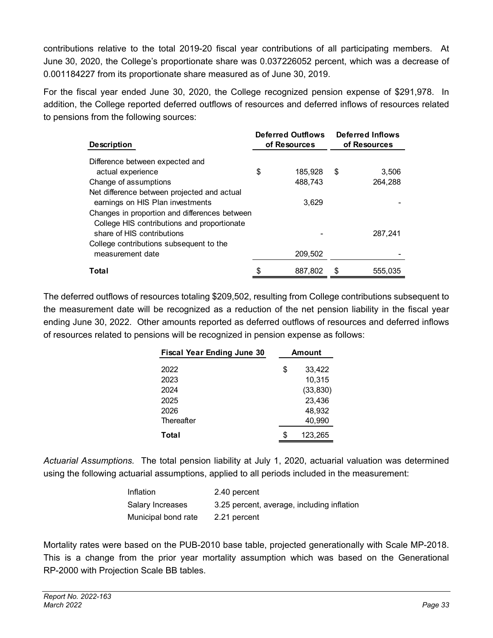contributions relative to the total 2019-20 fiscal year contributions of all participating members. At June 30, 2020, the College's proportionate share was 0.037226052 percent, which was a decrease of 0.001184227 from its proportionate share measured as of June 30, 2019.

For the fiscal year ended June 30, 2020, the College recognized pension expense of \$291,978. In addition, the College reported deferred outflows of resources and deferred inflows of resources related to pensions from the following sources:

| <b>Description</b>                                                                           | <b>Deferred Outflows</b><br>of Resources |    | <b>Deferred Inflows</b><br>of Resources |
|----------------------------------------------------------------------------------------------|------------------------------------------|----|-----------------------------------------|
| Difference between expected and                                                              |                                          |    |                                         |
| actual experience                                                                            | \$<br>185,928                            | \$ | 3,506                                   |
| Change of assumptions                                                                        | 488,743                                  |    | 264,288                                 |
| Net difference between projected and actual<br>earnings on HIS Plan investments              | 3.629                                    |    |                                         |
| Changes in proportion and differences between<br>College HIS contributions and proportionate |                                          |    |                                         |
| share of HIS contributions                                                                   |                                          |    | 287,241                                 |
| College contributions subsequent to the                                                      |                                          |    |                                         |
| measurement date                                                                             | 209,502                                  |    |                                         |
| Total                                                                                        | \$<br>887,802                            | S  | 555,035                                 |

The deferred outflows of resources totaling \$209,502, resulting from College contributions subsequent to the measurement date will be recognized as a reduction of the net pension liability in the fiscal year ending June 30, 2022. Other amounts reported as deferred outflows of resources and deferred inflows of resources related to pensions will be recognized in pension expense as follows:

| <b>Fiscal Year Ending June 30</b> | Amount       |
|-----------------------------------|--------------|
| 2022                              | \$<br>33,422 |
| 2023                              | 10,315       |
| 2024                              | (33, 830)    |
| 2025                              | 23,436       |
| 2026                              | 48,932       |
| Thereafter                        | 40,990       |
| Total                             | 123,265      |

*Actuarial Assumptions.* The total pension liability at July 1, 2020, actuarial valuation was determined using the following actuarial assumptions, applied to all periods included in the measurement:

| Inflation           | 2.40 percent                               |
|---------------------|--------------------------------------------|
| Salary Increases    | 3.25 percent, average, including inflation |
| Municipal bond rate | 2.21 percent                               |

Mortality rates were based on the PUB-2010 base table, projected generationally with Scale MP-2018. This is a change from the prior year mortality assumption which was based on the Generational RP-2000 with Projection Scale BB tables.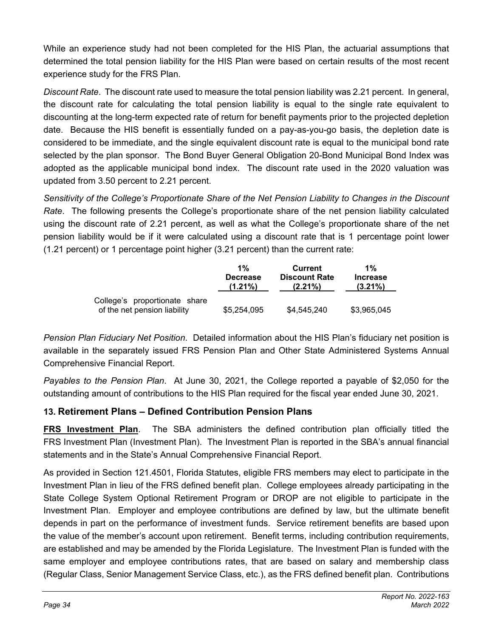While an experience study had not been completed for the HIS Plan, the actuarial assumptions that determined the total pension liability for the HIS Plan were based on certain results of the most recent experience study for the FRS Plan.

*Discount Rate*. The discount rate used to measure the total pension liability was 2.21 percent. In general, the discount rate for calculating the total pension liability is equal to the single rate equivalent to discounting at the long-term expected rate of return for benefit payments prior to the projected depletion date. Because the HIS benefit is essentially funded on a pay-as-you-go basis, the depletion date is considered to be immediate, and the single equivalent discount rate is equal to the municipal bond rate selected by the plan sponsor. The Bond Buyer General Obligation 20-Bond Municipal Bond Index was adopted as the applicable municipal bond index. The discount rate used in the 2020 valuation was updated from 3.50 percent to 2.21 percent.

*Sensitivity of the College's Proportionate Share of the Net Pension Liability to Changes in the Discount Rate*. The following presents the College's proportionate share of the net pension liability calculated using the discount rate of 2.21 percent, as well as what the College's proportionate share of the net pension liability would be if it were calculated using a discount rate that is 1 percentage point lower (1.21 percent) or 1 percentage point higher (3.21 percent) than the current rate:

|                                                               | 1%              | <b>Current</b>       | 1%              |
|---------------------------------------------------------------|-----------------|----------------------|-----------------|
|                                                               | <b>Decrease</b> | <b>Discount Rate</b> | <b>Increase</b> |
|                                                               | $(1.21\%)$      | $(2.21\%)$           | $(3.21\%)$      |
| College's proportionate share<br>of the net pension liability | \$5,254,095     | \$4,545,240          | \$3,965,045     |

*Pension Plan Fiduciary Net Position*. Detailed information about the HIS Plan's fiduciary net position is available in the separately issued FRS Pension Plan and Other State Administered Systems Annual Comprehensive Financial Report.

*Payables to the Pension Plan*. At June 30, 2021, the College reported a payable of \$2,050 for the outstanding amount of contributions to the HIS Plan required for the fiscal year ended June 30, 2021.

# **13. Retirement Plans – Defined Contribution Pension Plans**

**FRS Investment Plan**. The SBA administers the defined contribution plan officially titled the FRS Investment Plan (Investment Plan). The Investment Plan is reported in the SBA's annual financial statements and in the State's Annual Comprehensive Financial Report.

As provided in Section 121.4501, Florida Statutes, eligible FRS members may elect to participate in the Investment Plan in lieu of the FRS defined benefit plan. College employees already participating in the State College System Optional Retirement Program or DROP are not eligible to participate in the Investment Plan. Employer and employee contributions are defined by law, but the ultimate benefit depends in part on the performance of investment funds. Service retirement benefits are based upon the value of the member's account upon retirement. Benefit terms, including contribution requirements, are established and may be amended by the Florida Legislature. The Investment Plan is funded with the same employer and employee contributions rates, that are based on salary and membership class (Regular Class, Senior Management Service Class, etc.), as the FRS defined benefit plan. Contributions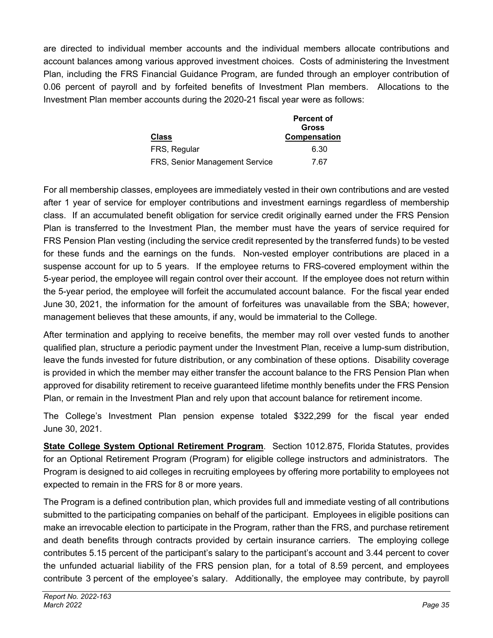are directed to individual member accounts and the individual members allocate contributions and account balances among various approved investment choices. Costs of administering the Investment Plan, including the FRS Financial Guidance Program, are funded through an employer contribution of 0.06 percent of payroll and by forfeited benefits of Investment Plan members. Allocations to the Investment Plan member accounts during the 2020-21 fiscal year were as follows:

|                                | <b>Percent of</b> |
|--------------------------------|-------------------|
|                                | <b>Gross</b>      |
| <b>Class</b>                   | Compensation      |
| FRS, Regular                   | 6.30              |
| FRS, Senior Management Service | 7 67              |

For all membership classes, employees are immediately vested in their own contributions and are vested after 1 year of service for employer contributions and investment earnings regardless of membership class. If an accumulated benefit obligation for service credit originally earned under the FRS Pension Plan is transferred to the Investment Plan, the member must have the years of service required for FRS Pension Plan vesting (including the service credit represented by the transferred funds) to be vested for these funds and the earnings on the funds. Non-vested employer contributions are placed in a suspense account for up to 5 years. If the employee returns to FRS-covered employment within the 5-year period, the employee will regain control over their account. If the employee does not return within the 5-year period, the employee will forfeit the accumulated account balance. For the fiscal year ended June 30, 2021, the information for the amount of forfeitures was unavailable from the SBA; however, management believes that these amounts, if any, would be immaterial to the College.

After termination and applying to receive benefits, the member may roll over vested funds to another qualified plan, structure a periodic payment under the Investment Plan, receive a lump-sum distribution, leave the funds invested for future distribution, or any combination of these options. Disability coverage is provided in which the member may either transfer the account balance to the FRS Pension Plan when approved for disability retirement to receive guaranteed lifetime monthly benefits under the FRS Pension Plan, or remain in the Investment Plan and rely upon that account balance for retirement income.

The College's Investment Plan pension expense totaled \$322,299 for the fiscal year ended June 30, 2021.

**State College System Optional Retirement Program**. Section 1012.875, Florida Statutes, provides for an Optional Retirement Program (Program) for eligible college instructors and administrators. The Program is designed to aid colleges in recruiting employees by offering more portability to employees not expected to remain in the FRS for 8 or more years.

The Program is a defined contribution plan, which provides full and immediate vesting of all contributions submitted to the participating companies on behalf of the participant. Employees in eligible positions can make an irrevocable election to participate in the Program, rather than the FRS, and purchase retirement and death benefits through contracts provided by certain insurance carriers. The employing college contributes 5.15 percent of the participant's salary to the participant's account and 3.44 percent to cover the unfunded actuarial liability of the FRS pension plan, for a total of 8.59 percent, and employees contribute 3 percent of the employee's salary. Additionally, the employee may contribute, by payroll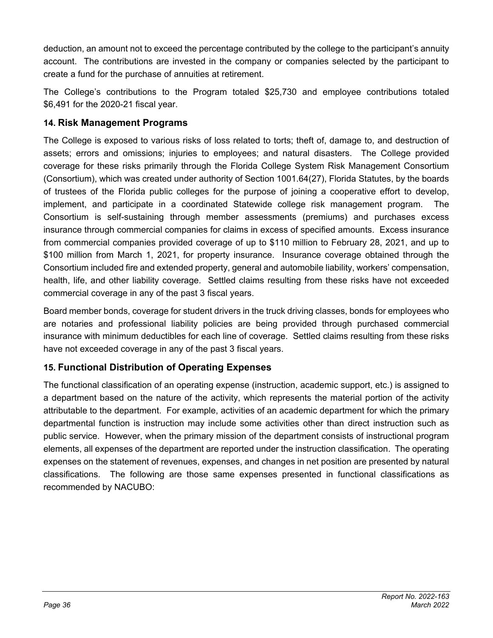deduction, an amount not to exceed the percentage contributed by the college to the participant's annuity account. The contributions are invested in the company or companies selected by the participant to create a fund for the purchase of annuities at retirement.

The College's contributions to the Program totaled \$25,730 and employee contributions totaled \$6,491 for the 2020-21 fiscal year.

# **14. Risk Management Programs**

The College is exposed to various risks of loss related to torts; theft of, damage to, and destruction of assets; errors and omissions; injuries to employees; and natural disasters. The College provided coverage for these risks primarily through the Florida College System Risk Management Consortium (Consortium), which was created under authority of Section 1001.64(27), Florida Statutes, by the boards of trustees of the Florida public colleges for the purpose of joining a cooperative effort to develop, implement, and participate in a coordinated Statewide college risk management program. The Consortium is self-sustaining through member assessments (premiums) and purchases excess insurance through commercial companies for claims in excess of specified amounts. Excess insurance from commercial companies provided coverage of up to \$110 million to February 28, 2021, and up to \$100 million from March 1, 2021, for property insurance. Insurance coverage obtained through the Consortium included fire and extended property, general and automobile liability, workers' compensation, health, life, and other liability coverage. Settled claims resulting from these risks have not exceeded commercial coverage in any of the past 3 fiscal years.

Board member bonds, coverage for student drivers in the truck driving classes, bonds for employees who are notaries and professional liability policies are being provided through purchased commercial insurance with minimum deductibles for each line of coverage. Settled claims resulting from these risks have not exceeded coverage in any of the past 3 fiscal years.

# **15. Functional Distribution of Operating Expenses**

The functional classification of an operating expense (instruction, academic support, etc.) is assigned to a department based on the nature of the activity, which represents the material portion of the activity attributable to the department. For example, activities of an academic department for which the primary departmental function is instruction may include some activities other than direct instruction such as public service. However, when the primary mission of the department consists of instructional program elements, all expenses of the department are reported under the instruction classification. The operating expenses on the statement of revenues, expenses, and changes in net position are presented by natural classifications. The following are those same expenses presented in functional classifications as recommended by NACUBO: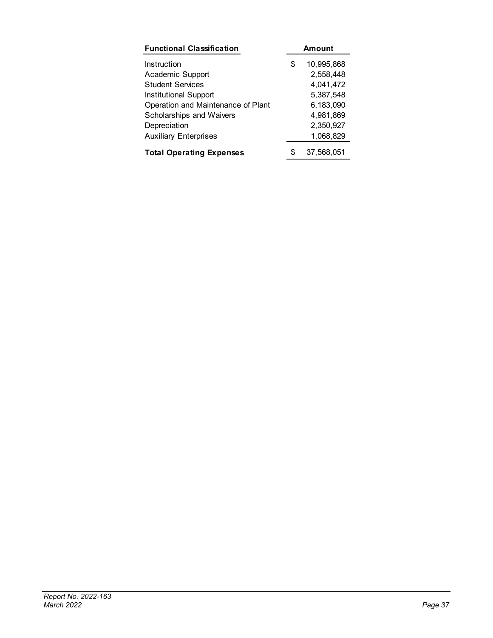| <b>Functional Classification</b>   | Amount |            |  |  |
|------------------------------------|--------|------------|--|--|
| Instruction                        | \$     | 10,995,868 |  |  |
| Academic Support                   |        | 2,558,448  |  |  |
| <b>Student Services</b>            |        | 4,041,472  |  |  |
| <b>Institutional Support</b>       |        | 5,387,548  |  |  |
| Operation and Maintenance of Plant |        | 6,183,090  |  |  |
| Scholarships and Waivers           |        | 4,981,869  |  |  |
| Depreciation                       |        | 2,350,927  |  |  |
| <b>Auxiliary Enterprises</b>       |        | 1,068,829  |  |  |
| <b>Total Operating Expenses</b>    | S.     | 37,568,051 |  |  |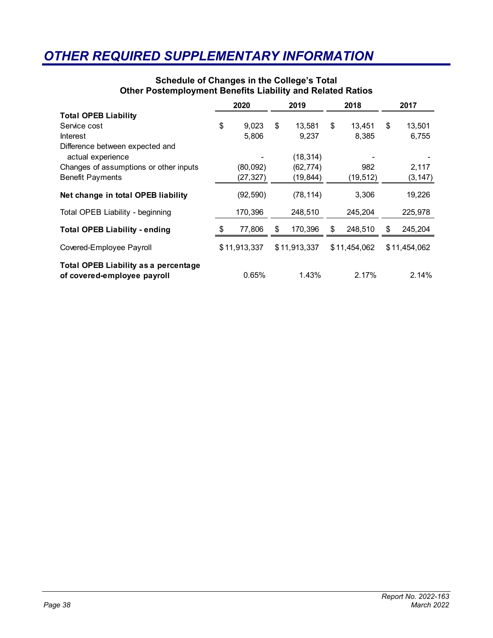# <span id="page-41-0"></span>*OTHER REQUIRED SUPPLEMENTARY INFORMATION*

|                                                                            | 2020         | 2019          | 2018          |     | 2017         |
|----------------------------------------------------------------------------|--------------|---------------|---------------|-----|--------------|
| <b>Total OPEB Liability</b>                                                |              |               |               |     |              |
| Service cost                                                               | \$<br>9,023  | \$<br>13,581  | \$<br>13.451  | \$  | 13,501       |
| <b>Interest</b>                                                            | 5,806        | 9,237         | 8,385         |     | 6,755        |
| Difference between expected and                                            |              |               |               |     |              |
| actual experience                                                          |              | (18, 314)     |               |     |              |
| Changes of assumptions or other inputs                                     | (80,092)     | (62, 774)     | 982           |     | 2,117        |
| <b>Benefit Payments</b>                                                    | (27, 327)    | (19, 844)     | (19, 512)     |     | (3, 147)     |
| Net change in total OPEB liability                                         | (92, 590)    | (78, 114)     | 3,306         |     | 19,226       |
| Total OPEB Liability - beginning                                           | 170,396      | 248,510       | 245,204       |     | 225,978      |
| <b>Total OPEB Liability - ending</b>                                       | \$<br>77,806 | \$<br>170,396 | \$<br>248,510 | \$. | 245,204      |
| Covered-Employee Payroll                                                   | \$11,913,337 | \$11,913,337  | \$11,454,062  |     | \$11,454,062 |
| <b>Total OPEB Liability as a percentage</b><br>of covered-employee payroll | 0.65%        | 1.43%         | 2.17%         |     | 2.14%        |

#### **Schedule of Changes in the College's Total Other Postemployment Benefits Liability and Related Ratios**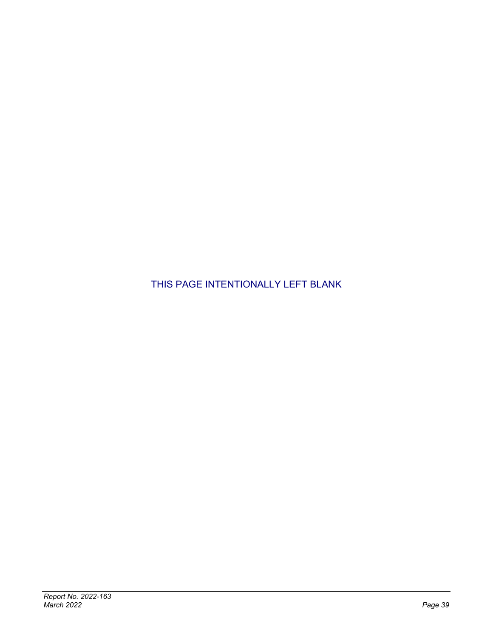THIS PAGE INTENTIONALLY LEFT BLANK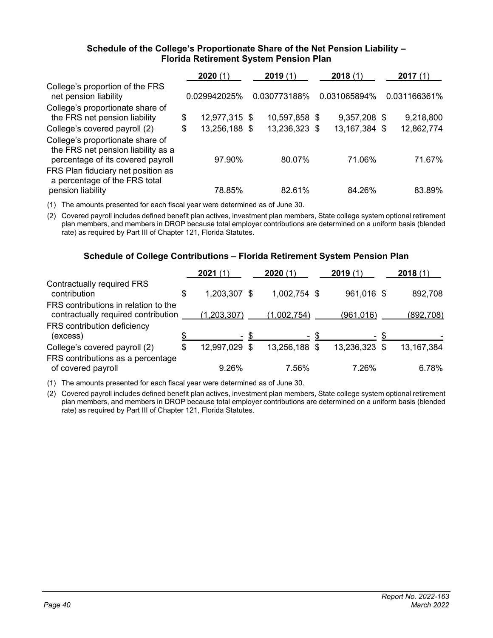#### **Schedule of the College's Proportionate Share of the Net Pension Liability – Florida Retirement System Pension Plan**

<span id="page-43-0"></span>

|                                                                                                             | 2020(1)             | 2019(1)       | 2018 (1)      | 2017(1)      |
|-------------------------------------------------------------------------------------------------------------|---------------------|---------------|---------------|--------------|
| College's proportion of the FRS<br>net pension liability<br>College's proportionate share of                | 0.029942025%        | 0.030773188%  | 0.031065894%  | 0.031166361% |
| the FRS net pension liability                                                                               | \$<br>12,977,315 \$ | 10,597,858 \$ | 9,357,208 \$  | 9,218,800    |
| College's covered payroll (2)                                                                               | \$<br>13,256,188 \$ | 13,236,323 \$ | 13,167,384 \$ | 12,862,774   |
| College's proportionate share of<br>the FRS net pension liability as a<br>percentage of its covered payroll | 97.90%              | 80.07%        | 71.06%        | 71.67%       |
| FRS Plan fiduciary net position as<br>a percentage of the FRS total<br>pension liability                    | 78.85%              | 82.61%        | 84.26%        | 83.89%       |

(1) The amounts presented for each fiscal year were determined as of June 30.

(2) Covered payroll includes defined benefit plan actives, investment plan members, State college system optional retirement plan members, and members in DROP because total employer contributions are determined on a uniform basis (blended rate) as required by Part III of Chapter 121, Florida Statutes.

#### **Schedule of College Contributions – Florida Retirement System Pension Plan**

|                                                                             |    | 2021(1)      |     | 2020(1)       | 2019(1)    | 2018(1)            |
|-----------------------------------------------------------------------------|----|--------------|-----|---------------|------------|--------------------|
| Contractually required FRS<br>contribution                                  | \$ | 1,203,307 \$ |     | 1,002,754 \$  | 961,016 \$ | 892,708            |
| FRS contributions in relation to the<br>contractually required contribution |    | (1,203,307)  |     | (1.002.754)   | (961, 016) | (892, 708)         |
| FRS contribution deficiency<br>(excess)                                     |    |              |     |               |            |                    |
| College's covered payroll (2)                                               | S  | 12,997,029   | -\$ | 13,256,188 \$ | 13,236,323 | \$<br>13, 167, 384 |
| FRS contributions as a percentage<br>of covered payroll                     |    | 9.26%        |     | 7.56%         | 7.26%      | 6.78%              |

(1) The amounts presented for each fiscal year were determined as of June 30.

(2) Covered payroll includes defined benefit plan actives, investment plan members, State college system optional retirement plan members, and members in DROP because total employer contributions are determined on a uniform basis (blended rate) as required by Part III of Chapter 121, Florida Statutes.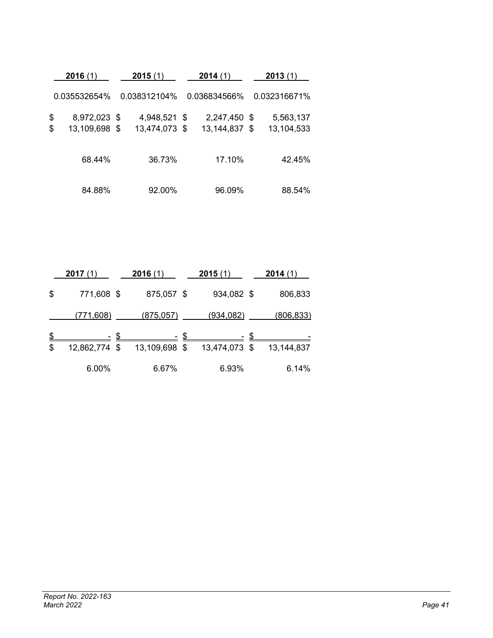| 2016 (1 |              |      | 2015(1)       |      | 2014(1)      | 2013 (1 |              |  |  |  |
|---------|--------------|------|---------------|------|--------------|---------|--------------|--|--|--|
|         | 0.035532654% |      | 0.038312104%  |      | 0.036834566% |         | 0.032316671% |  |  |  |
| \$      | 8,972,023 \$ |      | 4,948,521     | - \$ | 2,247,450 \$ |         | 5,563,137    |  |  |  |
| \$      | 13,109,698   | - \$ | 13,474,073 \$ |      | 13,144,837   | - \$    | 13,104,533   |  |  |  |
|         | 68.44%       |      | 36.73%        |      | 17.10%       |         | 42.45%       |  |  |  |
|         | 84.88%       |      | $92.00\%$     |      | 96.09%       |         | 88.54%       |  |  |  |

| 2017(1)             | 2016(1)       |      | 2015(1)       | 2014(1)    |
|---------------------|---------------|------|---------------|------------|
| \$<br>771,608 \$    | 875,057       | - \$ | 934,082 \$    | 806,833    |
| (771, 608)          | (875, 057)    |      | (934, 082)    | (806, 833) |
|                     |               |      |               |            |
| \$<br>12,862,774 \$ | 13,109,698 \$ |      | 13,474,073 \$ | 13,144,837 |
| 6.00%               | 6.67%         |      | 6.93%         | 6.14%      |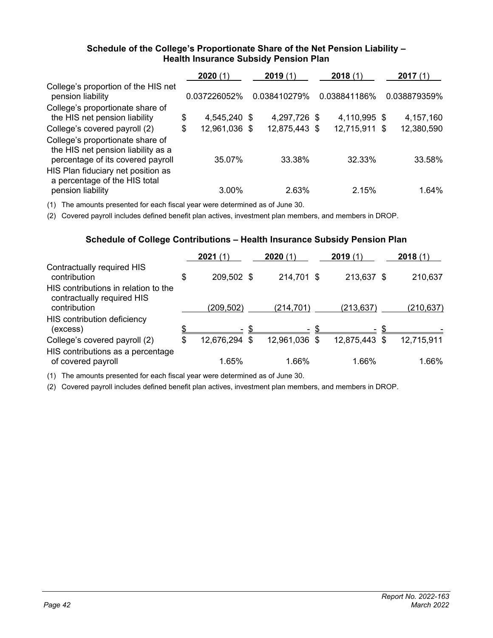#### **Schedule of the College's Proportionate Share of the Net Pension Liability – Health Insurance Subsidy Pension Plan**

<span id="page-45-0"></span>

|                                                                                                             | 2020(1)             | 2019(1)       | 2018(1)       | 2017 (1      |
|-------------------------------------------------------------------------------------------------------------|---------------------|---------------|---------------|--------------|
| College's proportion of the HIS net<br>pension liability<br>College's proportionate share of                | 0.037226052%        | 0.038410279%  | 0.038841186%  | 0.038879359% |
| the HIS net pension liability                                                                               | \$<br>4,545,240 \$  | 4,297,726 \$  | 4,110,995 \$  | 4,157,160    |
| College's covered payroll (2)                                                                               | \$<br>12,961,036 \$ | 12,875,443 \$ | 12,715,911 \$ | 12,380,590   |
| College's proportionate share of<br>the HIS net pension liability as a<br>percentage of its covered payroll | 35.07%              | 33.38%        | 32.33%        | 33.58%       |
| HIS Plan fiduciary net position as<br>a percentage of the HIS total<br>pension liability                    | $3.00\%$            | 2.63%         | 2.15%         | 1.64%        |

(1) The amounts presented for each fiscal year were determined as of June 30.

(2) Covered payroll includes defined benefit plan actives, investment plan members, and members in DROP.

#### **Schedule of College Contributions – Health Insurance Subsidy Pension Plan**

|                                                                    | 2021 (1          | 2020(1)             | 2019(1)    | 2018(1)          |
|--------------------------------------------------------------------|------------------|---------------------|------------|------------------|
| Contractually required HIS<br>contribution                         | \$<br>209,502 \$ | 214,701 \$          | 213,637 \$ | 210,637          |
| HIS contributions in relation to the<br>contractually required HIS |                  |                     |            |                  |
| contribution                                                       | (209,502)        | (214, 701)          | (213, 637) | (210,637)        |
| HIS contribution deficiency                                        |                  |                     |            |                  |
| (excess)                                                           |                  | \$                  |            |                  |
| College's covered payroll (2)                                      | \$<br>12,676,294 | \$<br>12,961,036 \$ | 12,875,443 | \$<br>12,715,911 |
| HIS contributions as a percentage<br>of covered payroll            | 1.65%            | 1.66%               | 1.66%      | 1.66%            |

(1) The amounts presented for each fiscal year were determined as of June 30.

(2) Covered payroll includes defined benefit plan actives, investment plan members, and members in DROP.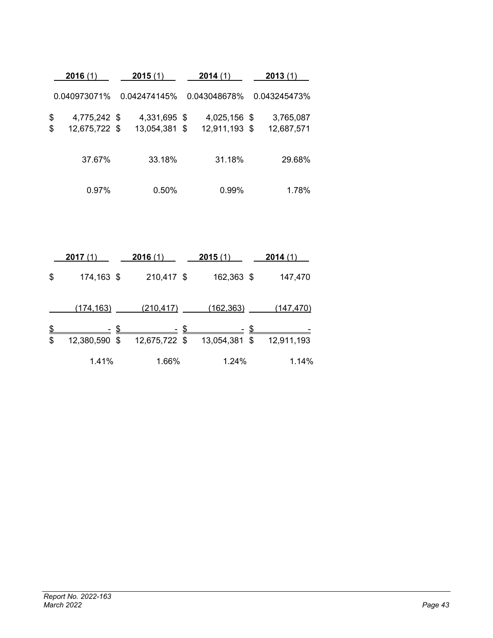|    | 2016(1)       | 2015(1)      |      | 2014(1)       | 2013(1) |              |  |  |  |
|----|---------------|--------------|------|---------------|---------|--------------|--|--|--|
|    | 0.040973071%  | 0.042474145% |      | 0.043048678%  |         | 0.043245473% |  |  |  |
| \$ | 4,775,242 \$  | 4,331,695 \$ |      | 4,025,156 \$  |         | 3,765,087    |  |  |  |
| \$ | 12,675,722 \$ | 13,054,381   | - \$ | 12,911,193 \$ |         | 12,687,571   |  |  |  |
|    | 37.67%        | 33.18%       |      | 31.18%        |         | 29.68%       |  |  |  |
|    | $0.97\%$      | 0.50%        |      | 0.99%         |         | 1.78%        |  |  |  |

| 2017(1)             | 2016(1)       | 2015(1)       | 2014(1)    |
|---------------------|---------------|---------------|------------|
| \$<br>174,163 \$    | 210,417 \$    | 162,363 \$    | 147,470    |
| (174, 163)          | (210, 417)    | (162, 363)    | (147, 470) |
|                     | - \$          |               |            |
| \$<br>12,380,590 \$ | 12,675,722 \$ | 13,054,381 \$ | 12,911,193 |
| 1.41%               | 1.66%         | 1.24%         | 1.14%      |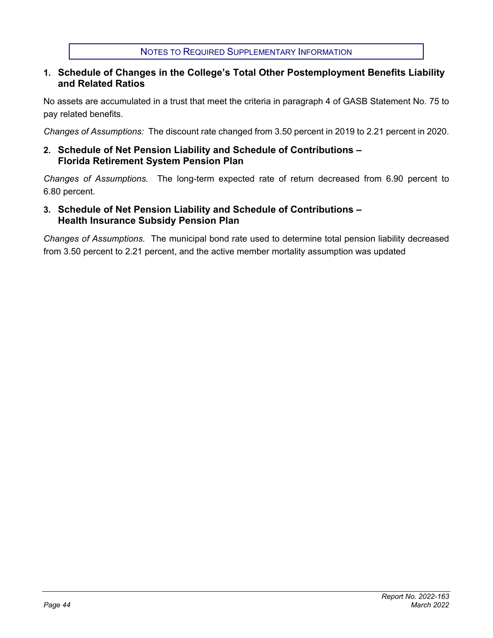# <span id="page-47-0"></span>**1. Schedule of Changes in the College's Total Other Postemployment Benefits Liability and Related Ratios**

No assets are accumulated in a trust that meet the criteria in paragraph 4 of GASB Statement No. 75 to pay related benefits.

*Changes of Assumptions:* The discount rate changed from 3.50 percent in 2019 to 2.21 percent in 2020.

# **2. Schedule of Net Pension Liability and Schedule of Contributions – Florida Retirement System Pension Plan**

*Changes of Assumptions.* The long-term expected rate of return decreased from 6.90 percent to 6.80 percent.

# **3. Schedule of Net Pension Liability and Schedule of Contributions – Health Insurance Subsidy Pension Plan**

*Changes of Assumptions.* The municipal bond rate used to determine total pension liability decreased from 3.50 percent to 2.21 percent, and the active member mortality assumption was updated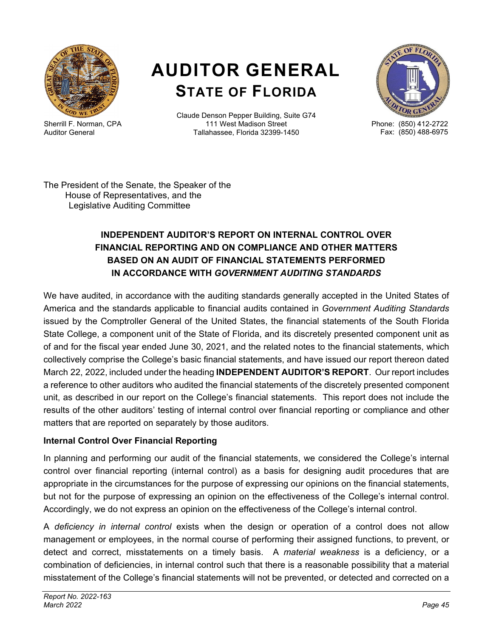<span id="page-48-0"></span>

Sherrill F. Norman, CPA Auditor General

# **AUDITOR GENERAL STATE OF FLORIDA**

Claude Denson Pepper Building, Suite G74 111 West Madison Street Tallahassee, Florida 32399-1450



Phone: (850) 412-2722 Fax: (850) 488-6975

The President of the Senate, the Speaker of the House of Representatives, and the Legislative Auditing Committee

# **INDEPENDENT AUDITOR'S REPORT ON INTERNAL CONTROL OVER FINANCIAL REPORTING AND ON COMPLIANCE AND OTHER MATTERS BASED ON AN AUDIT OF FINANCIAL STATEMENTS PERFORMED IN ACCORDANCE WITH** *GOVERNMENT AUDITING STANDARDS*

We have audited, in accordance with the auditing standards generally accepted in the United States of America and the standards applicable to financial audits contained in *Government Auditing Standards* issued by the Comptroller General of the United States, the financial statements of the South Florida State College, a component unit of the State of Florida, and its discretely presented component unit as of and for the fiscal year ended June 30, 2021, and the related notes to the financial statements, which collectively comprise the College's basic financial statements, and have issued our report thereon dated March 22, 2022, included under the heading **INDEPENDENT AUDITOR'S REPORT**. Our report includes a reference to other auditors who audited the financial statements of the discretely presented component unit, as described in our report on the College's financial statements. This report does not include the results of the other auditors' testing of internal control over financial reporting or compliance and other matters that are reported on separately by those auditors.

# **Internal Control Over Financial Reporting**

In planning and performing our audit of the financial statements, we considered the College's internal control over financial reporting (internal control) as a basis for designing audit procedures that are appropriate in the circumstances for the purpose of expressing our opinions on the financial statements, but not for the purpose of expressing an opinion on the effectiveness of the College's internal control. Accordingly, we do not express an opinion on the effectiveness of the College's internal control.

A *deficiency in internal control* exists when the design or operation of a control does not allow management or employees, in the normal course of performing their assigned functions, to prevent, or detect and correct, misstatements on a timely basis. A *material weakness* is a deficiency, or a combination of deficiencies, in internal control such that there is a reasonable possibility that a material misstatement of the College's financial statements will not be prevented, or detected and corrected on a